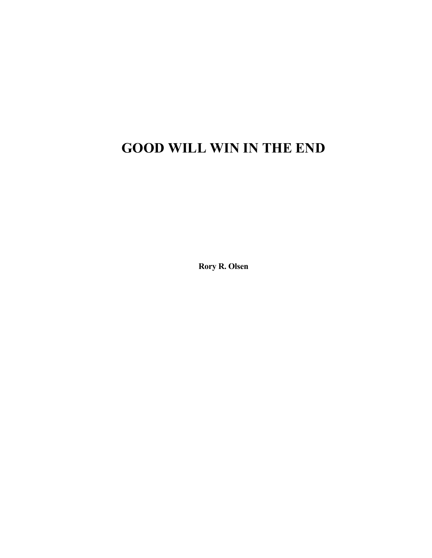# **GOOD WILL WIN IN THE END**

**Rory R. Olsen**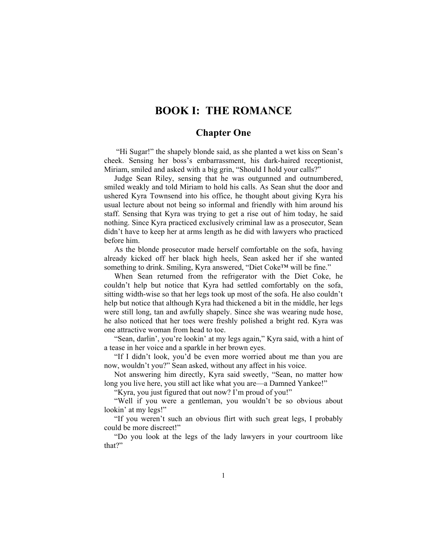# **BOOK I: THE ROMANCE**

# **Chapter One**

 "Hi Sugar!" the shapely blonde said, as she planted a wet kiss on Sean's cheek. Sensing her boss's embarrassment, his dark-haired receptionist, Miriam, smiled and asked with a big grin, "Should I hold your calls?"

Judge Sean Riley, sensing that he was outgunned and outnumbered, smiled weakly and told Miriam to hold his calls. As Sean shut the door and ushered Kyra Townsend into his office, he thought about giving Kyra his usual lecture about not being so informal and friendly with him around his staff. Sensing that Kyra was trying to get a rise out of him today, he said nothing. Since Kyra practiced exclusively criminal law as a prosecutor, Sean didn't have to keep her at arms length as he did with lawyers who practiced before him.

As the blonde prosecutor made herself comfortable on the sofa, having already kicked off her black high heels, Sean asked her if she wanted something to drink. Smiling, Kyra answered, "Diet Coke™ will be fine."

When Sean returned from the refrigerator with the Diet Coke, he couldn't help but notice that Kyra had settled comfortably on the sofa, sitting width-wise so that her legs took up most of the sofa. He also couldn't help but notice that although Kyra had thickened a bit in the middle, her legs were still long, tan and awfully shapely. Since she was wearing nude hose, he also noticed that her toes were freshly polished a bright red. Kyra was one attractive woman from head to toe.

"Sean, darlin', you're lookin' at my legs again," Kyra said, with a hint of a tease in her voice and a sparkle in her brown eyes.

"If I didn't look, you'd be even more worried about me than you are now, wouldn't you?" Sean asked, without any affect in his voice.

Not answering him directly, Kyra said sweetly, "Sean, no matter how long you live here, you still act like what you are—a Damned Yankee!"

"Kyra, you just figured that out now? I'm proud of you!"

"Well if you were a gentleman, you wouldn't be so obvious about lookin' at my legs!"

"If you weren't such an obvious flirt with such great legs, I probably could be more discreet!"

"Do you look at the legs of the lady lawyers in your courtroom like that?"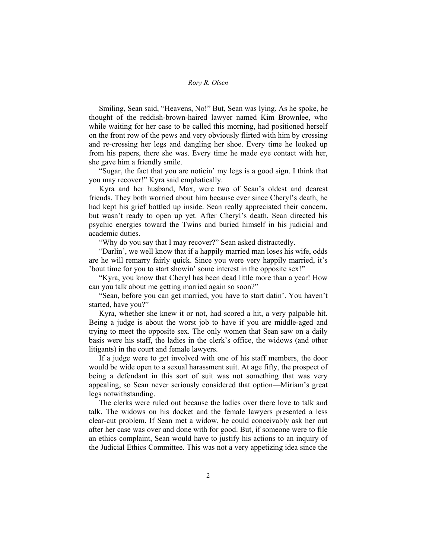Smiling, Sean said, "Heavens, No!" But, Sean was lying. As he spoke, he thought of the reddish-brown-haired lawyer named Kim Brownlee, who while waiting for her case to be called this morning, had positioned herself on the front row of the pews and very obviously flirted with him by crossing and re-crossing her legs and dangling her shoe. Every time he looked up from his papers, there she was. Every time he made eye contact with her, she gave him a friendly smile.

"Sugar, the fact that you are noticin' my legs is a good sign. I think that you may recover!" Kyra said emphatically.

Kyra and her husband, Max, were two of Sean's oldest and dearest friends. They both worried about him because ever since Cheryl's death, he had kept his grief bottled up inside. Sean really appreciated their concern, but wasn't ready to open up yet. After Cheryl's death, Sean directed his psychic energies toward the Twins and buried himself in his judicial and academic duties.

"Why do you say that I may recover?" Sean asked distractedly.

"Darlin', we well know that if a happily married man loses his wife, odds are he will remarry fairly quick. Since you were very happily married, it's 'bout time for you to start showin' some interest in the opposite sex!"

"Kyra, you know that Cheryl has been dead little more than a year! How can you talk about me getting married again so soon?"

"Sean, before you can get married, you have to start datin'. You haven't started, have you?"

Kyra, whether she knew it or not, had scored a hit, a very palpable hit. Being a judge is about the worst job to have if you are middle-aged and trying to meet the opposite sex. The only women that Sean saw on a daily basis were his staff, the ladies in the clerk's office, the widows (and other litigants) in the court and female lawyers.

If a judge were to get involved with one of his staff members, the door would be wide open to a sexual harassment suit. At age fifty, the prospect of being a defendant in this sort of suit was not something that was very appealing, so Sean never seriously considered that option—Miriam's great legs notwithstanding.

The clerks were ruled out because the ladies over there love to talk and talk. The widows on his docket and the female lawyers presented a less clear-cut problem. If Sean met a widow, he could conceivably ask her out after her case was over and done with for good. But, if someone were to file an ethics complaint, Sean would have to justify his actions to an inquiry of the Judicial Ethics Committee. This was not a very appetizing idea since the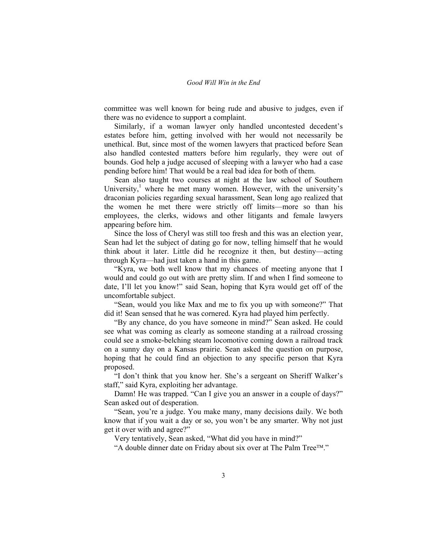committee was well known for being rude and abusive to judges, even if there was no evidence to support a complaint.

Similarly, if a woman lawyer only handled uncontested decedent's estates before him, getting involved with her would not necessarily be unethical. But, since most of the women lawyers that practiced before Sean also handled contested matters before him regularly, they were out of bounds. God help a judge accused of sleeping with a lawyer who had a case pending before him! That would be a real bad idea for both of them.

Sean also taught two courses at night at the law school of Southern University, $<sup>1</sup>$  where he met many women. However, with the university's</sup> draconian policies regarding sexual harassment, Sean long ago realized that the women he met there were strictly off limits—more so than his employees, the clerks, widows and other litigants and female lawyers appearing before him.

Since the loss of Cheryl was still too fresh and this was an election year, Sean had let the subject of dating go for now, telling himself that he would think about it later. Little did he recognize it then, but destiny—acting through Kyra—had just taken a hand in this game.

"Kyra, we both well know that my chances of meeting anyone that I would and could go out with are pretty slim. If and when I find someone to date, I'll let you know!" said Sean, hoping that Kyra would get off of the uncomfortable subject.

"Sean, would you like Max and me to fix you up with someone?" That did it! Sean sensed that he was cornered. Kyra had played him perfectly.

"By any chance, do you have someone in mind?" Sean asked. He could see what was coming as clearly as someone standing at a railroad crossing could see a smoke-belching steam locomotive coming down a railroad track on a sunny day on a Kansas prairie. Sean asked the question on purpose, hoping that he could find an objection to any specific person that Kyra proposed.

"I don't think that you know her. She's a sergeant on Sheriff Walker's staff," said Kyra, exploiting her advantage.

Damn! He was trapped. "Can I give you an answer in a couple of days?" Sean asked out of desperation.

"Sean, you're a judge. You make many, many decisions daily. We both know that if you wait a day or so, you won't be any smarter. Why not just get it over with and agree?"

Very tentatively, Sean asked, "What did you have in mind?"

"A double dinner date on Friday about six over at The Palm Tree™."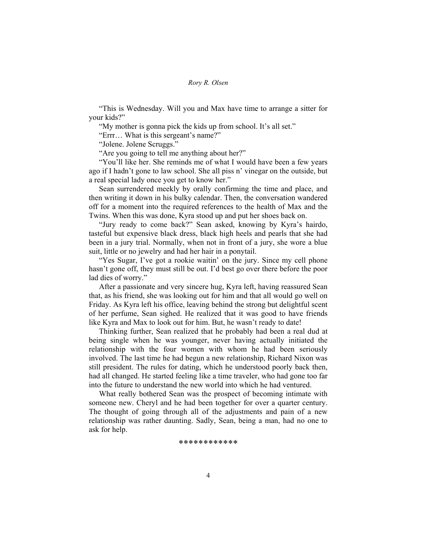"This is Wednesday. Will you and Max have time to arrange a sitter for your kids?"

"My mother is gonna pick the kids up from school. It's all set."

"Errr… What is this sergeant's name?"

"Jolene. Jolene Scruggs."

"Are you going to tell me anything about her?"

"You'll like her. She reminds me of what I would have been a few years ago if I hadn't gone to law school. She all piss n' vinegar on the outside, but a real special lady once you get to know her."

Sean surrendered meekly by orally confirming the time and place, and then writing it down in his bulky calendar. Then, the conversation wandered off for a moment into the required references to the health of Max and the Twins. When this was done, Kyra stood up and put her shoes back on.

"Jury ready to come back?" Sean asked, knowing by Kyra's hairdo, tasteful but expensive black dress, black high heels and pearls that she had been in a jury trial. Normally, when not in front of a jury, she wore a blue suit, little or no jewelry and had her hair in a ponytail.

"Yes Sugar, I've got a rookie waitin' on the jury. Since my cell phone hasn't gone off, they must still be out. I'd best go over there before the poor lad dies of worry."

After a passionate and very sincere hug, Kyra left, having reassured Sean that, as his friend, she was looking out for him and that all would go well on Friday. As Kyra left his office, leaving behind the strong but delightful scent of her perfume, Sean sighed. He realized that it was good to have friends like Kyra and Max to look out for him. But, he wasn't ready to date!

Thinking further, Sean realized that he probably had been a real dud at being single when he was younger, never having actually initiated the relationship with the four women with whom he had been seriously involved. The last time he had begun a new relationship, Richard Nixon was still president. The rules for dating, which he understood poorly back then, had all changed. He started feeling like a time traveler, who had gone too far into the future to understand the new world into which he had ventured.

What really bothered Sean was the prospect of becoming intimate with someone new. Cheryl and he had been together for over a quarter century. The thought of going through all of the adjustments and pain of a new relationship was rather daunting. Sadly, Sean, being a man, had no one to ask for help.

#### \*\*\*\*\*\*\*\*\*\*\*\*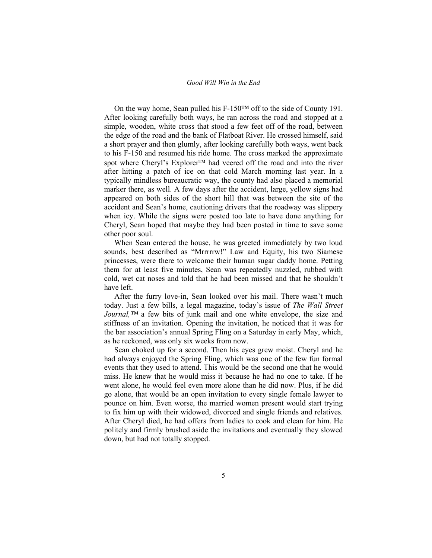On the way home, Sean pulled his F-150™ off to the side of County 191. After looking carefully both ways, he ran across the road and stopped at a simple, wooden, white cross that stood a few feet off of the road, between the edge of the road and the bank of Flatboat River. He crossed himself, said a short prayer and then glumly, after looking carefully both ways, went back to his F-150 and resumed his ride home. The cross marked the approximate spot where Cheryl's Explorer™ had veered off the road and into the river after hitting a patch of ice on that cold March morning last year. In a typically mindless bureaucratic way, the county had also placed a memorial marker there, as well. A few days after the accident, large, yellow signs had appeared on both sides of the short hill that was between the site of the accident and Sean's home, cautioning drivers that the roadway was slippery when icy. While the signs were posted too late to have done anything for Cheryl, Sean hoped that maybe they had been posted in time to save some other poor soul.

When Sean entered the house, he was greeted immediately by two loud sounds, best described as "Mrrrrrw!" Law and Equity, his two Siamese princesses, were there to welcome their human sugar daddy home. Petting them for at least five minutes, Sean was repeatedly nuzzled, rubbed with cold, wet cat noses and told that he had been missed and that he shouldn't have left.

After the furry love-in, Sean looked over his mail. There wasn't much today. Just a few bills, a legal magazine, today's issue of *The Wall Street Journal,™* a few bits of junk mail and one white envelope, the size and stiffness of an invitation. Opening the invitation, he noticed that it was for the bar association's annual Spring Fling on a Saturday in early May, which, as he reckoned, was only six weeks from now.

Sean choked up for a second. Then his eyes grew moist. Cheryl and he had always enjoyed the Spring Fling, which was one of the few fun formal events that they used to attend. This would be the second one that he would miss. He knew that he would miss it because he had no one to take. If he went alone, he would feel even more alone than he did now. Plus, if he did go alone, that would be an open invitation to every single female lawyer to pounce on him. Even worse, the married women present would start trying to fix him up with their widowed, divorced and single friends and relatives. After Cheryl died, he had offers from ladies to cook and clean for him. He politely and firmly brushed aside the invitations and eventually they slowed down, but had not totally stopped.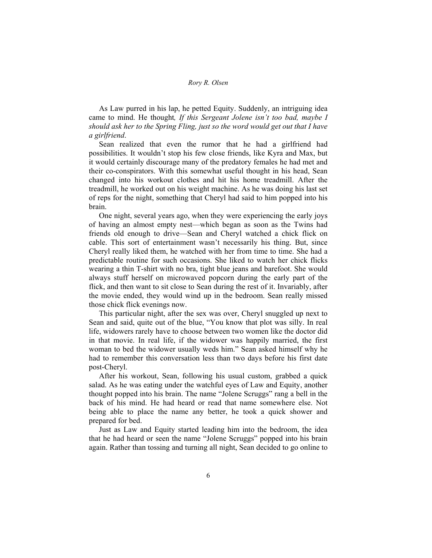As Law purred in his lap, he petted Equity. Suddenly, an intriguing idea came to mind. He thought*, If this Sergeant Jolene isn't too bad, maybe I should ask her to the Spring Fling, just so the word would get out that I have a girlfriend*.

Sean realized that even the rumor that he had a girlfriend had possibilities. It wouldn't stop his few close friends, like Kyra and Max, but it would certainly discourage many of the predatory females he had met and their co-conspirators. With this somewhat useful thought in his head, Sean changed into his workout clothes and hit his home treadmill. After the treadmill, he worked out on his weight machine. As he was doing his last set of reps for the night, something that Cheryl had said to him popped into his brain.

One night, several years ago, when they were experiencing the early joys of having an almost empty nest—which began as soon as the Twins had friends old enough to drive—Sean and Cheryl watched a chick flick on cable. This sort of entertainment wasn't necessarily his thing. But, since Cheryl really liked them, he watched with her from time to time. She had a predictable routine for such occasions. She liked to watch her chick flicks wearing a thin T-shirt with no bra, tight blue jeans and barefoot. She would always stuff herself on microwaved popcorn during the early part of the flick, and then want to sit close to Sean during the rest of it. Invariably, after the movie ended, they would wind up in the bedroom. Sean really missed those chick flick evenings now.

This particular night, after the sex was over, Cheryl snuggled up next to Sean and said, quite out of the blue, "You know that plot was silly. In real life, widowers rarely have to choose between two women like the doctor did in that movie. In real life, if the widower was happily married, the first woman to bed the widower usually weds him." Sean asked himself why he had to remember this conversation less than two days before his first date post-Cheryl.

After his workout, Sean, following his usual custom, grabbed a quick salad. As he was eating under the watchful eyes of Law and Equity, another thought popped into his brain. The name "Jolene Scruggs" rang a bell in the back of his mind. He had heard or read that name somewhere else. Not being able to place the name any better, he took a quick shower and prepared for bed.

Just as Law and Equity started leading him into the bedroom, the idea that he had heard or seen the name "Jolene Scruggs" popped into his brain again. Rather than tossing and turning all night, Sean decided to go online to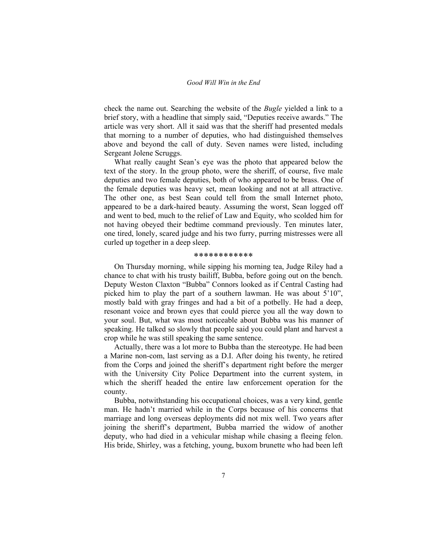check the name out. Searching the website of the *Bugle* yielded a link to a brief story, with a headline that simply said, "Deputies receive awards." The article was very short. All it said was that the sheriff had presented medals that morning to a number of deputies, who had distinguished themselves above and beyond the call of duty. Seven names were listed, including Sergeant Jolene Scruggs.

What really caught Sean's eye was the photo that appeared below the text of the story. In the group photo, were the sheriff, of course, five male deputies and two female deputies, both of who appeared to be brass. One of the female deputies was heavy set, mean looking and not at all attractive. The other one, as best Sean could tell from the small Internet photo, appeared to be a dark-haired beauty. Assuming the worst, Sean logged off and went to bed, much to the relief of Law and Equity, who scolded him for not having obeyed their bedtime command previously. Ten minutes later, one tired, lonely, scared judge and his two furry, purring mistresses were all curled up together in a deep sleep.

#### \*\*\*\*\*\*\*\*\*\*\*\*

On Thursday morning, while sipping his morning tea, Judge Riley had a chance to chat with his trusty bailiff, Bubba, before going out on the bench. Deputy Weston Claxton "Bubba" Connors looked as if Central Casting had picked him to play the part of a southern lawman. He was about 5'10", mostly bald with gray fringes and had a bit of a potbelly. He had a deep, resonant voice and brown eyes that could pierce you all the way down to your soul. But, what was most noticeable about Bubba was his manner of speaking. He talked so slowly that people said you could plant and harvest a crop while he was still speaking the same sentence.

Actually, there was a lot more to Bubba than the stereotype. He had been a Marine non-com, last serving as a D.I. After doing his twenty, he retired from the Corps and joined the sheriff's department right before the merger with the University City Police Department into the current system, in which the sheriff headed the entire law enforcement operation for the county.

Bubba, notwithstanding his occupational choices, was a very kind, gentle man. He hadn't married while in the Corps because of his concerns that marriage and long overseas deployments did not mix well. Two years after joining the sheriff's department, Bubba married the widow of another deputy, who had died in a vehicular mishap while chasing a fleeing felon. His bride, Shirley, was a fetching, young, buxom brunette who had been left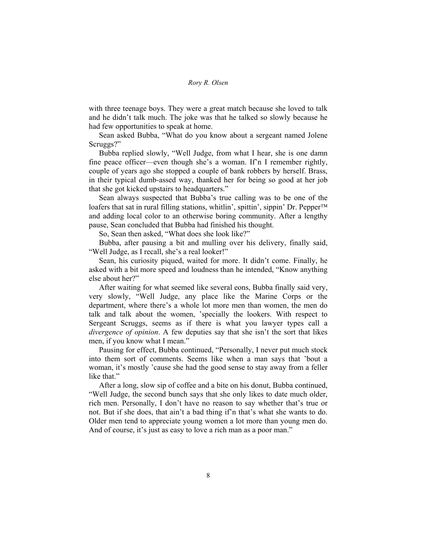with three teenage boys. They were a great match because she loved to talk and he didn't talk much. The joke was that he talked so slowly because he had few opportunities to speak at home.

Sean asked Bubba, "What do you know about a sergeant named Jolene Scruggs?"

Bubba replied slowly, "Well Judge, from what I hear, she is one damn fine peace officer—even though she's a woman. If'n I remember rightly, couple of years ago she stopped a couple of bank robbers by herself. Brass, in their typical dumb-assed way, thanked her for being so good at her job that she got kicked upstairs to headquarters."

Sean always suspected that Bubba's true calling was to be one of the loafers that sat in rural filling stations, whitlin', spittin', sippin' Dr. Pepper™ and adding local color to an otherwise boring community. After a lengthy pause, Sean concluded that Bubba had finished his thought.

So, Sean then asked, "What does she look like?"

Bubba, after pausing a bit and mulling over his delivery, finally said, "Well Judge, as I recall, she's a real looker!"

Sean, his curiosity piqued, waited for more. It didn't come. Finally, he asked with a bit more speed and loudness than he intended, "Know anything else about her?"

After waiting for what seemed like several eons, Bubba finally said very, very slowly, "Well Judge, any place like the Marine Corps or the department, where there's a whole lot more men than women, the men do talk and talk about the women, 'specially the lookers. With respect to Sergeant Scruggs, seems as if there is what you lawyer types call a *divergence of opinion*. A few deputies say that she isn't the sort that likes men, if you know what I mean."

Pausing for effect, Bubba continued, "Personally, I never put much stock into them sort of comments. Seems like when a man says that 'bout a woman, it's mostly 'cause she had the good sense to stay away from a feller like that."

After a long, slow sip of coffee and a bite on his donut, Bubba continued, "Well Judge, the second bunch says that she only likes to date much older, rich men. Personally, I don't have no reason to say whether that's true or not. But if she does, that ain't a bad thing if'n that's what she wants to do. Older men tend to appreciate young women a lot more than young men do. And of course, it's just as easy to love a rich man as a poor man."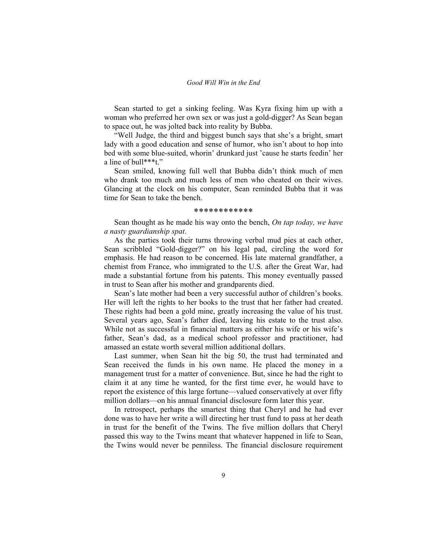Sean started to get a sinking feeling. Was Kyra fixing him up with a woman who preferred her own sex or was just a gold-digger? As Sean began to space out, he was jolted back into reality by Bubba.

"Well Judge, the third and biggest bunch says that she's a bright, smart lady with a good education and sense of humor, who isn't about to hop into bed with some blue-suited, whorin' drunkard just 'cause he starts feedin' her a line of bull\*\*\*t."

Sean smiled, knowing full well that Bubba didn't think much of men who drank too much and much less of men who cheated on their wives. Glancing at the clock on his computer, Sean reminded Bubba that it was time for Sean to take the bench.

#### \*\*\*\*\*\*\*\*\*\*\*\*

Sean thought as he made his way onto the bench, *On tap today, we have a nasty guardianship spat*.

As the parties took their turns throwing verbal mud pies at each other, Sean scribbled "Gold-digger?" on his legal pad, circling the word for emphasis. He had reason to be concerned. His late maternal grandfather, a chemist from France, who immigrated to the U.S. after the Great War, had made a substantial fortune from his patents. This money eventually passed in trust to Sean after his mother and grandparents died.

Sean's late mother had been a very successful author of children's books. Her will left the rights to her books to the trust that her father had created. These rights had been a gold mine, greatly increasing the value of his trust. Several years ago, Sean's father died, leaving his estate to the trust also. While not as successful in financial matters as either his wife or his wife's father, Sean's dad, as a medical school professor and practitioner, had amassed an estate worth several million additional dollars.

Last summer, when Sean hit the big 50, the trust had terminated and Sean received the funds in his own name. He placed the money in a management trust for a matter of convenience. But, since he had the right to claim it at any time he wanted, for the first time ever, he would have to report the existence of this large fortune—valued conservatively at over fifty million dollars—on his annual financial disclosure form later this year.

In retrospect, perhaps the smartest thing that Cheryl and he had ever done was to have her write a will directing her trust fund to pass at her death in trust for the benefit of the Twins. The five million dollars that Cheryl passed this way to the Twins meant that whatever happened in life to Sean, the Twins would never be penniless. The financial disclosure requirement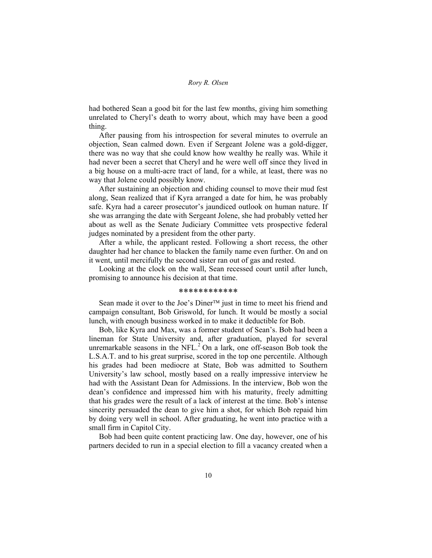had bothered Sean a good bit for the last few months, giving him something unrelated to Cheryl's death to worry about, which may have been a good thing.

After pausing from his introspection for several minutes to overrule an objection, Sean calmed down. Even if Sergeant Jolene was a gold-digger, there was no way that she could know how wealthy he really was. While it had never been a secret that Cheryl and he were well off since they lived in a big house on a multi-acre tract of land, for a while, at least, there was no way that Jolene could possibly know.

After sustaining an objection and chiding counsel to move their mud fest along, Sean realized that if Kyra arranged a date for him, he was probably safe. Kyra had a career prosecutor's jaundiced outlook on human nature. If she was arranging the date with Sergeant Jolene, she had probably vetted her about as well as the Senate Judiciary Committee vets prospective federal judges nominated by a president from the other party.

After a while, the applicant rested. Following a short recess, the other daughter had her chance to blacken the family name even further. On and on it went, until mercifully the second sister ran out of gas and rested.

Looking at the clock on the wall, Sean recessed court until after lunch, promising to announce his decision at that time.

#### \*\*\*\*\*\*\*\*\*\*\*\*

Sean made it over to the Joe's Diner™ just in time to meet his friend and campaign consultant, Bob Griswold, for lunch. It would be mostly a social lunch, with enough business worked in to make it deductible for Bob.

Bob, like Kyra and Max, was a former student of Sean's. Bob had been a lineman for State University and, after graduation, played for several unremarkable seasons in the NFL $^2$  On a lark, one off-season Bob took the L.S.A.T. and to his great surprise, scored in the top one percentile. Although his grades had been mediocre at State, Bob was admitted to Southern University's law school, mostly based on a really impressive interview he had with the Assistant Dean for Admissions. In the interview, Bob won the dean's confidence and impressed him with his maturity, freely admitting that his grades were the result of a lack of interest at the time. Bob's intense sincerity persuaded the dean to give him a shot, for which Bob repaid him by doing very well in school. After graduating, he went into practice with a small firm in Capitol City.

Bob had been quite content practicing law. One day, however, one of his partners decided to run in a special election to fill a vacancy created when a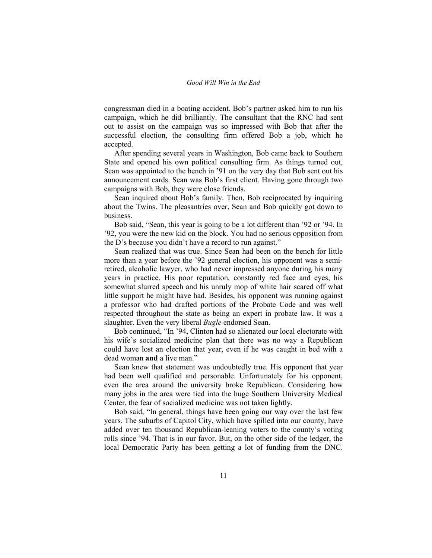congressman died in a boating accident. Bob's partner asked him to run his campaign, which he did brilliantly. The consultant that the RNC had sent out to assist on the campaign was so impressed with Bob that after the successful election, the consulting firm offered Bob a job, which he accepted.

After spending several years in Washington, Bob came back to Southern State and opened his own political consulting firm. As things turned out, Sean was appointed to the bench in '91 on the very day that Bob sent out his announcement cards. Sean was Bob's first client. Having gone through two campaigns with Bob, they were close friends.

Sean inquired about Bob's family. Then, Bob reciprocated by inquiring about the Twins. The pleasantries over, Sean and Bob quickly got down to business.

Bob said, "Sean, this year is going to be a lot different than '92 or '94. In '92, you were the new kid on the block. You had no serious opposition from the D's because you didn't have a record to run against."

Sean realized that was true. Since Sean had been on the bench for little more than a year before the '92 general election, his opponent was a semiretired, alcoholic lawyer, who had never impressed anyone during his many years in practice. His poor reputation, constantly red face and eyes, his somewhat slurred speech and his unruly mop of white hair scared off what little support he might have had. Besides, his opponent was running against a professor who had drafted portions of the Probate Code and was well respected throughout the state as being an expert in probate law. It was a slaughter. Even the very liberal *Bugle* endorsed Sean.

Bob continued, "In '94, Clinton had so alienated our local electorate with his wife's socialized medicine plan that there was no way a Republican could have lost an election that year, even if he was caught in bed with a dead woman **and** a live man."

Sean knew that statement was undoubtedly true. His opponent that year had been well qualified and personable. Unfortunately for his opponent, even the area around the university broke Republican. Considering how many jobs in the area were tied into the huge Southern University Medical Center, the fear of socialized medicine was not taken lightly.

Bob said, "In general, things have been going our way over the last few years. The suburbs of Capitol City, which have spilled into our county, have added over ten thousand Republican-leaning voters to the county's voting rolls since '94. That is in our favor. But, on the other side of the ledger, the local Democratic Party has been getting a lot of funding from the DNC.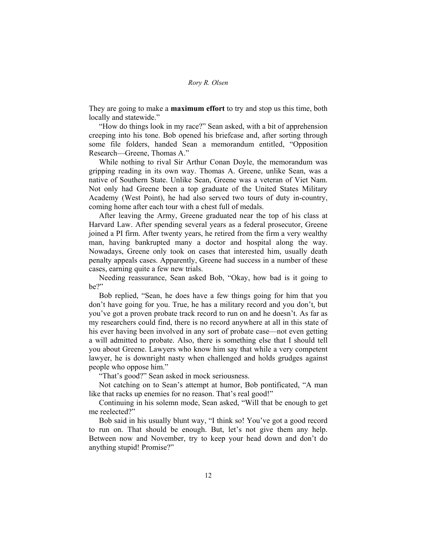They are going to make a **maximum effort** to try and stop us this time, both locally and statewide."

"How do things look in my race?" Sean asked, with a bit of apprehension creeping into his tone. Bob opened his briefcase and, after sorting through some file folders, handed Sean a memorandum entitled, "Opposition Research—Greene, Thomas A."

While nothing to rival Sir Arthur Conan Doyle, the memorandum was gripping reading in its own way. Thomas A. Greene, unlike Sean, was a native of Southern State. Unlike Sean, Greene was a veteran of Viet Nam. Not only had Greene been a top graduate of the United States Military Academy (West Point), he had also served two tours of duty in-country, coming home after each tour with a chest full of medals.

After leaving the Army, Greene graduated near the top of his class at Harvard Law. After spending several years as a federal prosecutor, Greene joined a PI firm. After twenty years, he retired from the firm a very wealthy man, having bankrupted many a doctor and hospital along the way. Nowadays, Greene only took on cases that interested him, usually death penalty appeals cases. Apparently, Greene had success in a number of these cases, earning quite a few new trials.

Needing reassurance, Sean asked Bob, "Okay, how bad is it going to be?"

Bob replied, "Sean, he does have a few things going for him that you don't have going for you. True, he has a military record and you don't, but you've got a proven probate track record to run on and he doesn't. As far as my researchers could find, there is no record anywhere at all in this state of his ever having been involved in any sort of probate case—not even getting a will admitted to probate. Also, there is something else that I should tell you about Greene. Lawyers who know him say that while a very competent lawyer, he is downright nasty when challenged and holds grudges against people who oppose him."

"That's good?" Sean asked in mock seriousness.

Not catching on to Sean's attempt at humor, Bob pontificated, "A man like that racks up enemies for no reason. That's real good!"

Continuing in his solemn mode, Sean asked, "Will that be enough to get me reelected?"

Bob said in his usually blunt way, "I think so! You've got a good record to run on. That should be enough. But, let's not give them any help. Between now and November, try to keep your head down and don't do anything stupid! Promise?"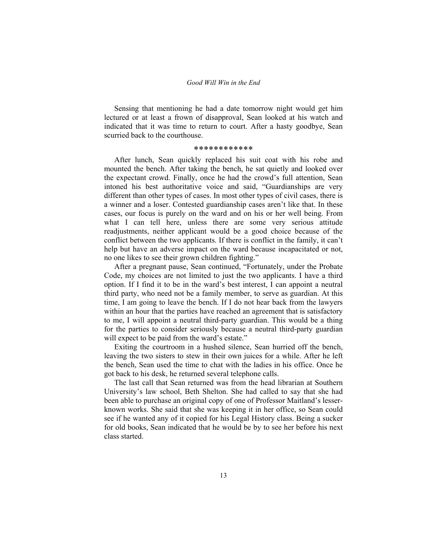Sensing that mentioning he had a date tomorrow night would get him lectured or at least a frown of disapproval, Sean looked at his watch and indicated that it was time to return to court. After a hasty goodbye, Sean scurried back to the courthouse.

#### \*\*\*\*\*\*\*\*\*\*\*\*

After lunch, Sean quickly replaced his suit coat with his robe and mounted the bench. After taking the bench, he sat quietly and looked over the expectant crowd. Finally, once he had the crowd's full attention, Sean intoned his best authoritative voice and said, "Guardianships are very different than other types of cases. In most other types of civil cases, there is a winner and a loser. Contested guardianship cases aren't like that. In these cases, our focus is purely on the ward and on his or her well being. From what I can tell here, unless there are some very serious attitude readjustments, neither applicant would be a good choice because of the conflict between the two applicants. If there is conflict in the family, it can't help but have an adverse impact on the ward because incapacitated or not. no one likes to see their grown children fighting."

After a pregnant pause, Sean continued, "Fortunately, under the Probate Code, my choices are not limited to just the two applicants. I have a third option. If I find it to be in the ward's best interest, I can appoint a neutral third party, who need not be a family member, to serve as guardian. At this time, I am going to leave the bench. If I do not hear back from the lawyers within an hour that the parties have reached an agreement that is satisfactory to me, I will appoint a neutral third-party guardian. This would be a thing for the parties to consider seriously because a neutral third-party guardian will expect to be paid from the ward's estate."

Exiting the courtroom in a hushed silence, Sean hurried off the bench, leaving the two sisters to stew in their own juices for a while. After he left the bench, Sean used the time to chat with the ladies in his office. Once he got back to his desk, he returned several telephone calls.

The last call that Sean returned was from the head librarian at Southern University's law school, Beth Shelton. She had called to say that she had been able to purchase an original copy of one of Professor Maitland's lesserknown works. She said that she was keeping it in her office, so Sean could see if he wanted any of it copied for his Legal History class. Being a sucker for old books, Sean indicated that he would be by to see her before his next class started.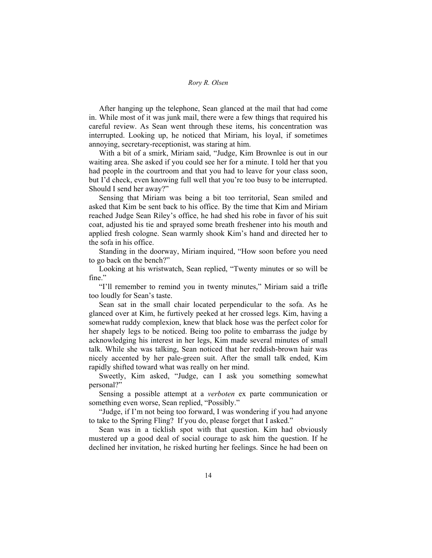After hanging up the telephone, Sean glanced at the mail that had come in. While most of it was junk mail, there were a few things that required his careful review. As Sean went through these items, his concentration was interrupted. Looking up, he noticed that Miriam, his loyal, if sometimes annoying, secretary-receptionist, was staring at him.

With a bit of a smirk, Miriam said, "Judge, Kim Brownlee is out in our waiting area. She asked if you could see her for a minute. I told her that you had people in the courtroom and that you had to leave for your class soon, but I'd check, even knowing full well that you're too busy to be interrupted. Should I send her away?"

Sensing that Miriam was being a bit too territorial, Sean smiled and asked that Kim be sent back to his office. By the time that Kim and Miriam reached Judge Sean Riley's office, he had shed his robe in favor of his suit coat, adjusted his tie and sprayed some breath freshener into his mouth and applied fresh cologne. Sean warmly shook Kim's hand and directed her to the sofa in his office.

Standing in the doorway, Miriam inquired, "How soon before you need to go back on the bench?"

Looking at his wristwatch, Sean replied, "Twenty minutes or so will be fine."

"I'll remember to remind you in twenty minutes," Miriam said a trifle too loudly for Sean's taste.

Sean sat in the small chair located perpendicular to the sofa. As he glanced over at Kim, he furtively peeked at her crossed legs. Kim, having a somewhat ruddy complexion, knew that black hose was the perfect color for her shapely legs to be noticed. Being too polite to embarrass the judge by acknowledging his interest in her legs, Kim made several minutes of small talk. While she was talking, Sean noticed that her reddish-brown hair was nicely accented by her pale-green suit. After the small talk ended, Kim rapidly shifted toward what was really on her mind.

Sweetly, Kim asked, "Judge, can I ask you something somewhat personal?"

Sensing a possible attempt at a *verboten* ex parte communication or something even worse, Sean replied, "Possibly."

"Judge, if I'm not being too forward, I was wondering if you had anyone to take to the Spring Fling? If you do, please forget that I asked."

Sean was in a ticklish spot with that question. Kim had obviously mustered up a good deal of social courage to ask him the question. If he declined her invitation, he risked hurting her feelings. Since he had been on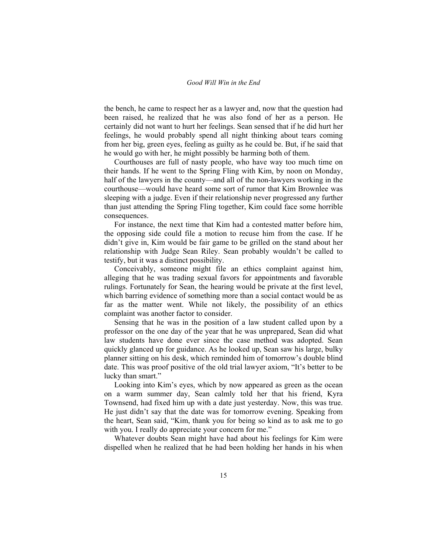the bench, he came to respect her as a lawyer and, now that the question had been raised, he realized that he was also fond of her as a person. He certainly did not want to hurt her feelings. Sean sensed that if he did hurt her feelings, he would probably spend all night thinking about tears coming from her big, green eyes, feeling as guilty as he could be. But, if he said that he would go with her, he might possibly be harming both of them.

Courthouses are full of nasty people, who have way too much time on their hands. If he went to the Spring Fling with Kim, by noon on Monday, half of the lawyers in the county—and all of the non-lawyers working in the courthouse—would have heard some sort of rumor that Kim Brownlee was sleeping with a judge. Even if their relationship never progressed any further than just attending the Spring Fling together, Kim could face some horrible consequences.

For instance, the next time that Kim had a contested matter before him, the opposing side could file a motion to recuse him from the case. If he didn't give in, Kim would be fair game to be grilled on the stand about her relationship with Judge Sean Riley. Sean probably wouldn't be called to testify, but it was a distinct possibility.

Conceivably, someone might file an ethics complaint against him, alleging that he was trading sexual favors for appointments and favorable rulings. Fortunately for Sean, the hearing would be private at the first level, which barring evidence of something more than a social contact would be as far as the matter went. While not likely, the possibility of an ethics complaint was another factor to consider.

Sensing that he was in the position of a law student called upon by a professor on the one day of the year that he was unprepared, Sean did what law students have done ever since the case method was adopted. Sean quickly glanced up for guidance. As he looked up, Sean saw his large, bulky planner sitting on his desk, which reminded him of tomorrow's double blind date. This was proof positive of the old trial lawyer axiom, "It's better to be lucky than smart."

Looking into Kim's eyes, which by now appeared as green as the ocean on a warm summer day, Sean calmly told her that his friend, Kyra Townsend, had fixed him up with a date just yesterday. Now, this was true. He just didn't say that the date was for tomorrow evening. Speaking from the heart, Sean said, "Kim, thank you for being so kind as to ask me to go with you. I really do appreciate your concern for me."

Whatever doubts Sean might have had about his feelings for Kim were dispelled when he realized that he had been holding her hands in his when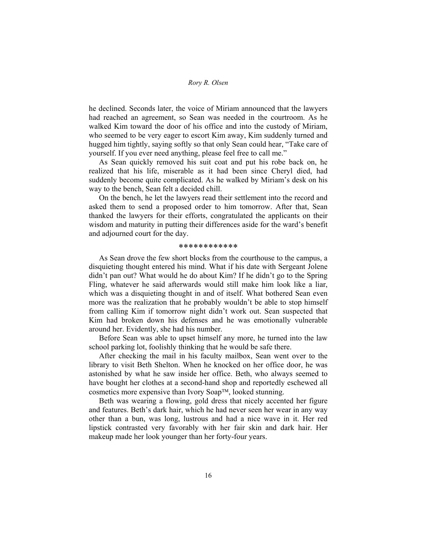he declined. Seconds later, the voice of Miriam announced that the lawyers had reached an agreement, so Sean was needed in the courtroom. As he walked Kim toward the door of his office and into the custody of Miriam, who seemed to be very eager to escort Kim away, Kim suddenly turned and hugged him tightly, saying softly so that only Sean could hear, "Take care of yourself. If you ever need anything, please feel free to call me."

As Sean quickly removed his suit coat and put his robe back on, he realized that his life, miserable as it had been since Cheryl died, had suddenly become quite complicated. As he walked by Miriam's desk on his way to the bench, Sean felt a decided chill.

On the bench, he let the lawyers read their settlement into the record and asked them to send a proposed order to him tomorrow. After that, Sean thanked the lawyers for their efforts, congratulated the applicants on their wisdom and maturity in putting their differences aside for the ward's benefit and adjourned court for the day.

#### \*\*\*\*\*\*\*\*\*\*\*\*

As Sean drove the few short blocks from the courthouse to the campus, a disquieting thought entered his mind. What if his date with Sergeant Jolene didn't pan out? What would he do about Kim? If he didn't go to the Spring Fling, whatever he said afterwards would still make him look like a liar, which was a disquieting thought in and of itself. What bothered Sean even more was the realization that he probably wouldn't be able to stop himself from calling Kim if tomorrow night didn't work out. Sean suspected that Kim had broken down his defenses and he was emotionally vulnerable around her. Evidently, she had his number.

Before Sean was able to upset himself any more, he turned into the law school parking lot, foolishly thinking that he would be safe there.

After checking the mail in his faculty mailbox, Sean went over to the library to visit Beth Shelton. When he knocked on her office door, he was astonished by what he saw inside her office. Beth, who always seemed to have bought her clothes at a second-hand shop and reportedly eschewed all cosmetics more expensive than Ivory Soap™, looked stunning.

Beth was wearing a flowing, gold dress that nicely accented her figure and features. Beth's dark hair, which he had never seen her wear in any way other than a bun, was long, lustrous and had a nice wave in it. Her red lipstick contrasted very favorably with her fair skin and dark hair. Her makeup made her look younger than her forty-four years.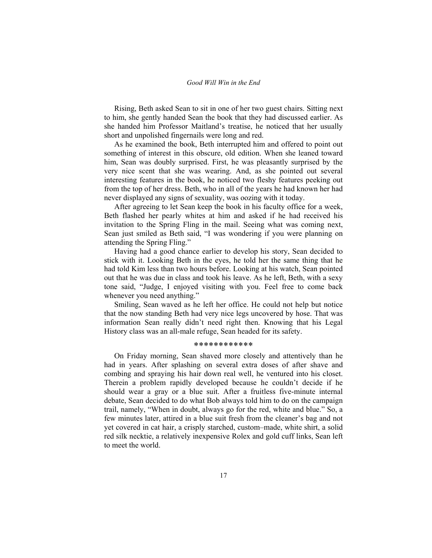Rising, Beth asked Sean to sit in one of her two guest chairs. Sitting next to him, she gently handed Sean the book that they had discussed earlier. As she handed him Professor Maitland's treatise, he noticed that her usually short and unpolished fingernails were long and red.

As he examined the book, Beth interrupted him and offered to point out something of interest in this obscure, old edition. When she leaned toward him, Sean was doubly surprised. First, he was pleasantly surprised by the very nice scent that she was wearing. And, as she pointed out several interesting features in the book, he noticed two fleshy features peeking out from the top of her dress. Beth, who in all of the years he had known her had never displayed any signs of sexuality, was oozing with it today.

After agreeing to let Sean keep the book in his faculty office for a week, Beth flashed her pearly whites at him and asked if he had received his invitation to the Spring Fling in the mail. Seeing what was coming next, Sean just smiled as Beth said, "I was wondering if you were planning on attending the Spring Fling."

Having had a good chance earlier to develop his story, Sean decided to stick with it. Looking Beth in the eyes, he told her the same thing that he had told Kim less than two hours before. Looking at his watch, Sean pointed out that he was due in class and took his leave. As he left, Beth, with a sexy tone said, "Judge, I enjoyed visiting with you. Feel free to come back whenever you need anything."

Smiling, Sean waved as he left her office. He could not help but notice that the now standing Beth had very nice legs uncovered by hose. That was information Sean really didn't need right then. Knowing that his Legal History class was an all-male refuge, Sean headed for its safety.

#### \*\*\*\*\*\*\*\*\*\*\*\*

On Friday morning, Sean shaved more closely and attentively than he had in years. After splashing on several extra doses of after shave and combing and spraying his hair down real well, he ventured into his closet. Therein a problem rapidly developed because he couldn't decide if he should wear a gray or a blue suit. After a fruitless five-minute internal debate, Sean decided to do what Bob always told him to do on the campaign trail, namely, "When in doubt, always go for the red, white and blue." So, a few minutes later, attired in a blue suit fresh from the cleaner's bag and not yet covered in cat hair, a crisply starched, custom–made, white shirt, a solid red silk necktie, a relatively inexpensive Rolex and gold cuff links, Sean left to meet the world.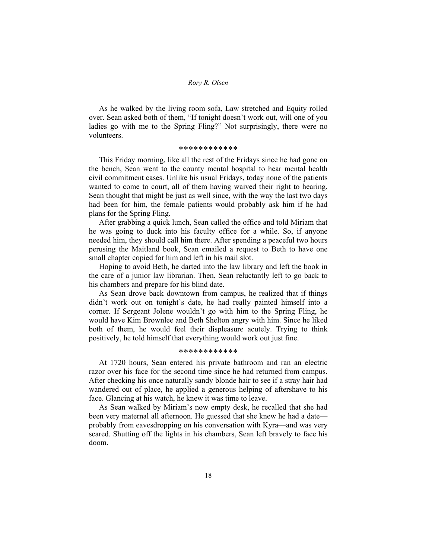As he walked by the living room sofa, Law stretched and Equity rolled over. Sean asked both of them, "If tonight doesn't work out, will one of you ladies go with me to the Spring Fling?" Not surprisingly, there were no volunteers.

#### \*\*\*\*\*\*\*\*\*\*\*\*

This Friday morning, like all the rest of the Fridays since he had gone on the bench, Sean went to the county mental hospital to hear mental health civil commitment cases. Unlike his usual Fridays, today none of the patients wanted to come to court, all of them having waived their right to hearing. Sean thought that might be just as well since, with the way the last two days had been for him, the female patients would probably ask him if he had plans for the Spring Fling.

After grabbing a quick lunch, Sean called the office and told Miriam that he was going to duck into his faculty office for a while. So, if anyone needed him, they should call him there. After spending a peaceful two hours perusing the Maitland book, Sean emailed a request to Beth to have one small chapter copied for him and left in his mail slot.

Hoping to avoid Beth, he darted into the law library and left the book in the care of a junior law librarian. Then, Sean reluctantly left to go back to his chambers and prepare for his blind date.

As Sean drove back downtown from campus, he realized that if things didn't work out on tonight's date, he had really painted himself into a corner. If Sergeant Jolene wouldn't go with him to the Spring Fling, he would have Kim Brownlee and Beth Shelton angry with him. Since he liked both of them, he would feel their displeasure acutely. Trying to think positively, he told himself that everything would work out just fine.

#### \*\*\*\*\*\*\*\*\*\*\*\*

At 1720 hours, Sean entered his private bathroom and ran an electric razor over his face for the second time since he had returned from campus. After checking his once naturally sandy blonde hair to see if a stray hair had wandered out of place, he applied a generous helping of aftershave to his face. Glancing at his watch, he knew it was time to leave.

As Sean walked by Miriam's now empty desk, he recalled that she had been very maternal all afternoon. He guessed that she knew he had a date probably from eavesdropping on his conversation with Kyra—and was very scared. Shutting off the lights in his chambers, Sean left bravely to face his doom.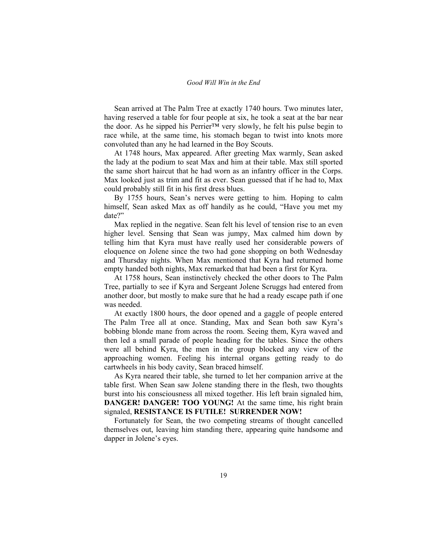Sean arrived at The Palm Tree at exactly 1740 hours. Two minutes later, having reserved a table for four people at six, he took a seat at the bar near the door. As he sipped his Perrier<sup>TM</sup> very slowly, he felt his pulse begin to race while, at the same time, his stomach began to twist into knots more convoluted than any he had learned in the Boy Scouts.

At 1748 hours, Max appeared. After greeting Max warmly, Sean asked the lady at the podium to seat Max and him at their table. Max still sported the same short haircut that he had worn as an infantry officer in the Corps. Max looked just as trim and fit as ever. Sean guessed that if he had to, Max could probably still fit in his first dress blues.

By 1755 hours, Sean's nerves were getting to him. Hoping to calm himself, Sean asked Max as off handily as he could, "Have you met my date?"

Max replied in the negative. Sean felt his level of tension rise to an even higher level. Sensing that Sean was jumpy, Max calmed him down by telling him that Kyra must have really used her considerable powers of eloquence on Jolene since the two had gone shopping on both Wednesday and Thursday nights. When Max mentioned that Kyra had returned home empty handed both nights, Max remarked that had been a first for Kyra.

At 1758 hours, Sean instinctively checked the other doors to The Palm Tree, partially to see if Kyra and Sergeant Jolene Scruggs had entered from another door, but mostly to make sure that he had a ready escape path if one was needed.

At exactly 1800 hours, the door opened and a gaggle of people entered The Palm Tree all at once. Standing, Max and Sean both saw Kyra's bobbing blonde mane from across the room. Seeing them, Kyra waved and then led a small parade of people heading for the tables. Since the others were all behind Kyra, the men in the group blocked any view of the approaching women. Feeling his internal organs getting ready to do cartwheels in his body cavity, Sean braced himself.

As Kyra neared their table, she turned to let her companion arrive at the table first. When Sean saw Jolene standing there in the flesh, two thoughts burst into his consciousness all mixed together. His left brain signaled him, **DANGER! DANGER! TOO YOUNG!** At the same time, his right brain signaled, **RESISTANCE IS FUTILE! SURRENDER NOW!** 

Fortunately for Sean, the two competing streams of thought cancelled themselves out, leaving him standing there, appearing quite handsome and dapper in Jolene's eyes.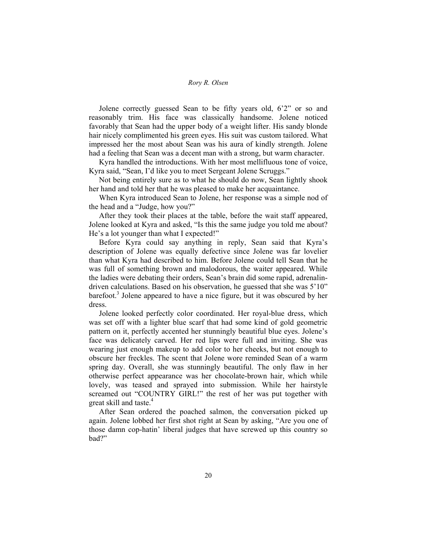Jolene correctly guessed Sean to be fifty years old, 6'2" or so and reasonably trim. His face was classically handsome. Jolene noticed favorably that Sean had the upper body of a weight lifter. His sandy blonde hair nicely complimented his green eyes. His suit was custom tailored. What impressed her the most about Sean was his aura of kindly strength. Jolene had a feeling that Sean was a decent man with a strong, but warm character.

Kyra handled the introductions. With her most mellifluous tone of voice, Kyra said, "Sean, I'd like you to meet Sergeant Jolene Scruggs."

Not being entirely sure as to what he should do now, Sean lightly shook her hand and told her that he was pleased to make her acquaintance.

When Kyra introduced Sean to Jolene, her response was a simple nod of the head and a "Judge, how you?"

After they took their places at the table, before the wait staff appeared, Jolene looked at Kyra and asked, "Is this the same judge you told me about? He's a lot younger than what I expected!"

Before Kyra could say anything in reply, Sean said that Kyra's description of Jolene was equally defective since Jolene was far lovelier than what Kyra had described to him. Before Jolene could tell Sean that he was full of something brown and malodorous, the waiter appeared. While the ladies were debating their orders, Sean's brain did some rapid, adrenalindriven calculations. Based on his observation, he guessed that she was 5'10" barefoot.<sup>3</sup> Jolene appeared to have a nice figure, but it was obscured by her dress.

Jolene looked perfectly color coordinated. Her royal-blue dress, which was set off with a lighter blue scarf that had some kind of gold geometric pattern on it, perfectly accented her stunningly beautiful blue eyes. Jolene's face was delicately carved. Her red lips were full and inviting. She was wearing just enough makeup to add color to her cheeks, but not enough to obscure her freckles. The scent that Jolene wore reminded Sean of a warm spring day. Overall, she was stunningly beautiful. The only flaw in her otherwise perfect appearance was her chocolate-brown hair, which while lovely, was teased and sprayed into submission. While her hairstyle screamed out "COUNTRY GIRL!" the rest of her was put together with great skill and taste.<sup>4</sup>

After Sean ordered the poached salmon, the conversation picked up again. Jolene lobbed her first shot right at Sean by asking, "Are you one of those damn cop-hatin' liberal judges that have screwed up this country so bad?"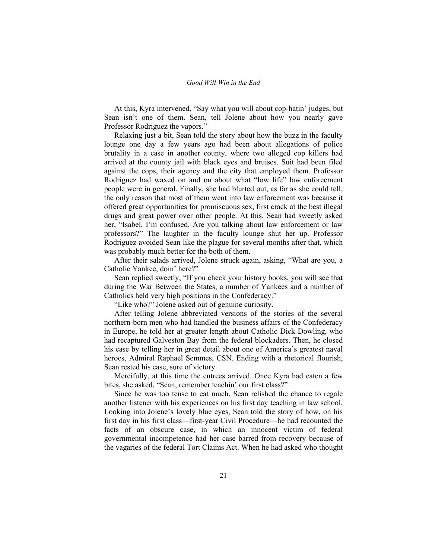At this, Kyra intervened, "Say what you will about cop-hatin' judges, but Sean isn't one of them. Sean, tell Jolene about how you nearly gave Professor Rodriguez the vapors."

Relaxing just a bit, Sean told the story about how the buzz in the faculty lounge one day a few years ago had been about allegations of police brutality in a case in another county, where two alleged cop killers had arrived at the county jail with black eyes and bruises. Suit had been filed against the cops, their agency and the city that employed them. Professor Rodriguez had waxed on and on about what "low life" law enforcement people were in general. Finally, she had blurted out, as far as she could tell, the only reason that most of them went into law enforcement was because it offered great opportunities for promiscuous sex, first crack at the best illegal drugs and great power over other people. At this, Sean had sweetly asked her, "Isabel, I'm confused. Are you talking about law enforcement or law professors?" The laughter in the faculty lounge shut her up. Professor Rodriguez avoided Sean like the plague for several months after that, which was probably much better for the both of them.

After their salads arrived, Jolene struck again, asking, "What are you, a Catholic Yankee, doin' here?"

Sean replied sweetly, "If you check your history books, you will see that during the War Between the States, a number of Yankees and a number of Catholics held very high positions in the Confederacy."

"Like who?" Jolene asked out of genuine curiosity.

After telling Jolene abbreviated versions of the stories of the several northern-born men who had handled the business affairs of the Confederacy in Europe, he told her at greater length about Catholic Dick Dowling, who had recaptured Galveston Bay from the federal blockaders. Then, he closed his case by telling her in great detail about one of America's greatest naval heroes, Admiral Raphael Semmes, CSN. Ending with a rhetorical flourish, Sean rested his case, sure of victory.

Mercifully, at this time the entrees arrived. Once Kyra had eaten a few bites, she asked, "Sean, remember teachin' our first class?"

Since he was too tense to eat much, Sean relished the chance to regale another listener with his experiences on his first day teaching in law school. Looking into Jolene's lovely blue eyes, Sean told the story of how, on his first day in his first class—first-year Civil Procedure—he had recounted the facts of an obscure case, in which an innocent victim of federal governmental incompetence had her case barred from recovery because of the vagaries of the federal Tort Claims Act. When he had asked who thought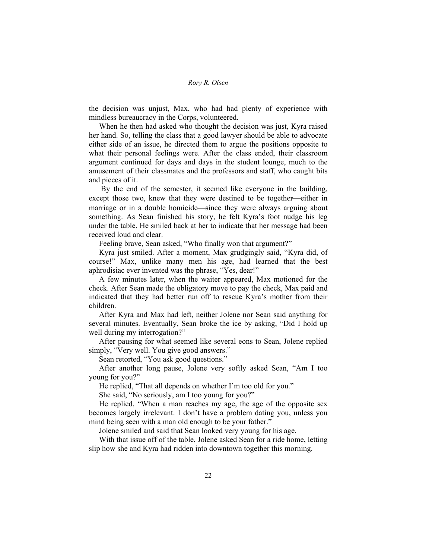the decision was unjust, Max, who had had plenty of experience with mindless bureaucracy in the Corps, volunteered.

When he then had asked who thought the decision was just, Kyra raised her hand. So, telling the class that a good lawyer should be able to advocate either side of an issue, he directed them to argue the positions opposite to what their personal feelings were. After the class ended, their classroom argument continued for days and days in the student lounge, much to the amusement of their classmates and the professors and staff, who caught bits and pieces of it.

 By the end of the semester, it seemed like everyone in the building, except those two, knew that they were destined to be together—either in marriage or in a double homicide—since they were always arguing about something. As Sean finished his story, he felt Kyra's foot nudge his leg under the table. He smiled back at her to indicate that her message had been received loud and clear.

Feeling brave, Sean asked, "Who finally won that argument?"

Kyra just smiled. After a moment, Max grudgingly said, "Kyra did, of course!" Max, unlike many men his age, had learned that the best aphrodisiac ever invented was the phrase, "Yes, dear!"

A few minutes later, when the waiter appeared, Max motioned for the check. After Sean made the obligatory move to pay the check, Max paid and indicated that they had better run off to rescue Kyra's mother from their children.

After Kyra and Max had left, neither Jolene nor Sean said anything for several minutes. Eventually, Sean broke the ice by asking, "Did I hold up well during my interrogation?"

After pausing for what seemed like several eons to Sean, Jolene replied simply, "Very well. You give good answers."

Sean retorted, "You ask good questions."

After another long pause, Jolene very softly asked Sean, "Am I too young for you?"

He replied, "That all depends on whether I'm too old for you."

She said, "No seriously, am I too young for you?"

He replied, "When a man reaches my age, the age of the opposite sex becomes largely irrelevant. I don't have a problem dating you, unless you mind being seen with a man old enough to be your father."

Jolene smiled and said that Sean looked very young for his age.

With that issue off of the table, Jolene asked Sean for a ride home, letting slip how she and Kyra had ridden into downtown together this morning.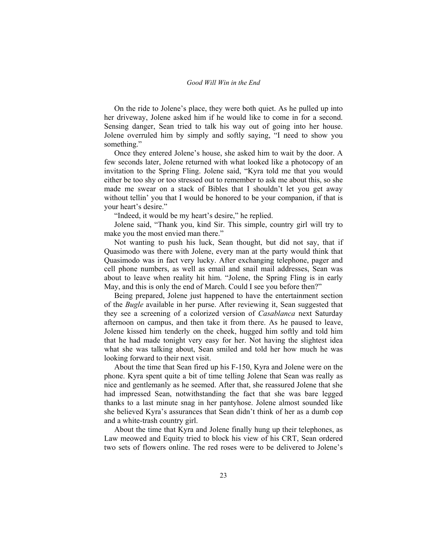On the ride to Jolene's place, they were both quiet. As he pulled up into her driveway, Jolene asked him if he would like to come in for a second. Sensing danger, Sean tried to talk his way out of going into her house. Jolene overruled him by simply and softly saying, "I need to show you something."

Once they entered Jolene's house, she asked him to wait by the door. A few seconds later, Jolene returned with what looked like a photocopy of an invitation to the Spring Fling. Jolene said, "Kyra told me that you would either be too shy or too stressed out to remember to ask me about this, so she made me swear on a stack of Bibles that I shouldn't let you get away without tellin' you that I would be honored to be your companion, if that is your heart's desire."

"Indeed, it would be my heart's desire," he replied.

Jolene said, "Thank you, kind Sir. This simple, country girl will try to make you the most envied man there."

Not wanting to push his luck, Sean thought, but did not say, that if Quasimodo was there with Jolene, every man at the party would think that Quasimodo was in fact very lucky. After exchanging telephone, pager and cell phone numbers, as well as email and snail mail addresses, Sean was about to leave when reality hit him. "Jolene, the Spring Fling is in early May, and this is only the end of March. Could I see you before then?"

Being prepared, Jolene just happened to have the entertainment section of the *Bugle* available in her purse. After reviewing it, Sean suggested that they see a screening of a colorized version of *Casablanca* next Saturday afternoon on campus, and then take it from there. As he paused to leave, Jolene kissed him tenderly on the cheek, hugged him softly and told him that he had made tonight very easy for her. Not having the slightest idea what she was talking about, Sean smiled and told her how much he was looking forward to their next visit.

About the time that Sean fired up his F-150, Kyra and Jolene were on the phone. Kyra spent quite a bit of time telling Jolene that Sean was really as nice and gentlemanly as he seemed. After that, she reassured Jolene that she had impressed Sean, notwithstanding the fact that she was bare legged thanks to a last minute snag in her pantyhose. Jolene almost sounded like she believed Kyra's assurances that Sean didn't think of her as a dumb cop and a white-trash country girl.

About the time that Kyra and Jolene finally hung up their telephones, as Law meowed and Equity tried to block his view of his CRT, Sean ordered two sets of flowers online. The red roses were to be delivered to Jolene's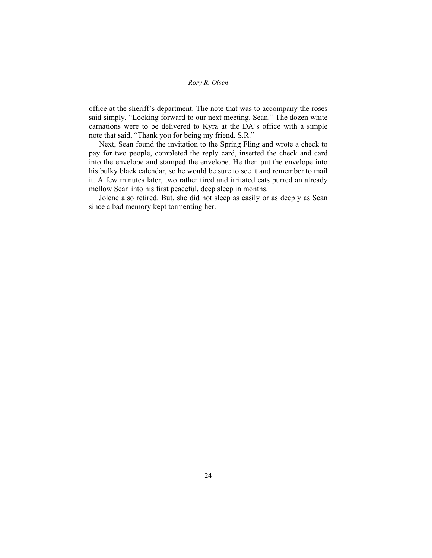office at the sheriff's department. The note that was to accompany the roses said simply, "Looking forward to our next meeting. Sean." The dozen white carnations were to be delivered to Kyra at the DA's office with a simple note that said, "Thank you for being my friend. S.R."

Next, Sean found the invitation to the Spring Fling and wrote a check to pay for two people, completed the reply card, inserted the check and card into the envelope and stamped the envelope. He then put the envelope into his bulky black calendar, so he would be sure to see it and remember to mail it. A few minutes later, two rather tired and irritated cats purred an already mellow Sean into his first peaceful, deep sleep in months.

Jolene also retired. But, she did not sleep as easily or as deeply as Sean since a bad memory kept tormenting her.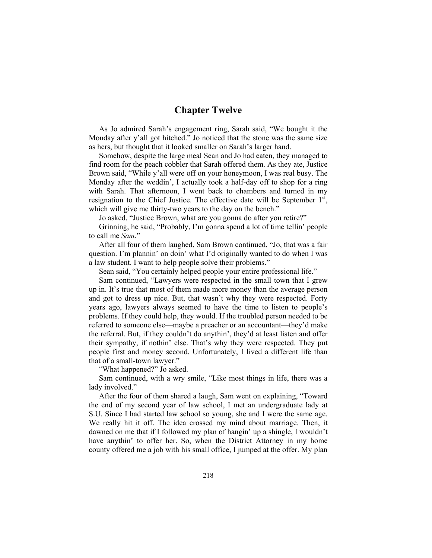# **Chapter Twelve**

As Jo admired Sarah's engagement ring, Sarah said, "We bought it the Monday after y'all got hitched." Jo noticed that the stone was the same size as hers, but thought that it looked smaller on Sarah's larger hand.

Somehow, despite the large meal Sean and Jo had eaten, they managed to find room for the peach cobbler that Sarah offered them. As they ate, Justice Brown said, "While y'all were off on your honeymoon, I was real busy. The Monday after the weddin', I actually took a half-day off to shop for a ring with Sarah. That afternoon, I went back to chambers and turned in my resignation to the Chief Justice. The effective date will be September  $1<sup>st</sup>$ , which will give me thirty-two years to the day on the bench."

Jo asked, "Justice Brown, what are you gonna do after you retire?"

Grinning, he said, "Probably, I'm gonna spend a lot of time tellin' people to call me *Sam*."

After all four of them laughed, Sam Brown continued, "Jo, that was a fair question. I'm plannin' on doin' what I'd originally wanted to do when I was a law student. I want to help people solve their problems."

Sean said, "You certainly helped people your entire professional life."

Sam continued, "Lawyers were respected in the small town that I grew up in. It's true that most of them made more money than the average person and got to dress up nice. But, that wasn't why they were respected. Forty years ago, lawyers always seemed to have the time to listen to people's problems. If they could help, they would. If the troubled person needed to be referred to someone else—maybe a preacher or an accountant—they'd make the referral. But, if they couldn't do anythin', they'd at least listen and offer their sympathy, if nothin' else. That's why they were respected. They put people first and money second. Unfortunately, I lived a different life than that of a small-town lawyer."

"What happened?" Jo asked.

Sam continued, with a wry smile, "Like most things in life, there was a lady involved."

After the four of them shared a laugh, Sam went on explaining, "Toward the end of my second year of law school, I met an undergraduate lady at S.U. Since I had started law school so young, she and I were the same age. We really hit it off. The idea crossed my mind about marriage. Then, it dawned on me that if I followed my plan of hangin' up a shingle, I wouldn't have anythin' to offer her. So, when the District Attorney in my home county offered me a job with his small office, I jumped at the offer. My plan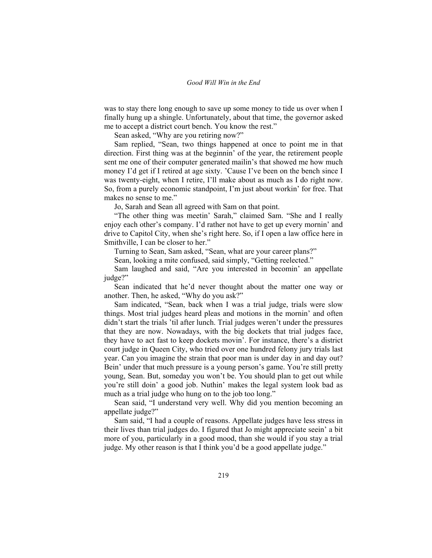was to stay there long enough to save up some money to tide us over when I finally hung up a shingle. Unfortunately, about that time, the governor asked me to accept a district court bench. You know the rest."

Sean asked, "Why are you retiring now?"

Sam replied, "Sean, two things happened at once to point me in that direction. First thing was at the beginnin' of the year, the retirement people sent me one of their computer generated mailin's that showed me how much money I'd get if I retired at age sixty. 'Cause I've been on the bench since I was twenty-eight, when I retire, I'll make about as much as I do right now. So, from a purely economic standpoint, I'm just about workin' for free. That makes no sense to me."

Jo, Sarah and Sean all agreed with Sam on that point.

"The other thing was meetin' Sarah," claimed Sam. "She and I really enjoy each other's company. I'd rather not have to get up every mornin' and drive to Capitol City, when she's right here. So, if I open a law office here in Smithville, I can be closer to her."

Turning to Sean, Sam asked, "Sean, what are your career plans?"

Sean, looking a mite confused, said simply, "Getting reelected."

Sam laughed and said, "Are you interested in becomin' an appellate judge?"

Sean indicated that he'd never thought about the matter one way or another. Then, he asked, "Why do you ask?"

Sam indicated, "Sean, back when I was a trial judge, trials were slow things. Most trial judges heard pleas and motions in the mornin' and often didn't start the trials 'til after lunch. Trial judges weren't under the pressures that they are now. Nowadays, with the big dockets that trial judges face, they have to act fast to keep dockets movin'. For instance, there's a district court judge in Queen City, who tried over one hundred felony jury trials last year. Can you imagine the strain that poor man is under day in and day out? Bein' under that much pressure is a young person's game. You're still pretty young, Sean. But, someday you won't be. You should plan to get out while you're still doin' a good job. Nuthin' makes the legal system look bad as much as a trial judge who hung on to the job too long."

Sean said, "I understand very well. Why did you mention becoming an appellate judge?"

Sam said, "I had a couple of reasons. Appellate judges have less stress in their lives than trial judges do. I figured that Jo might appreciate seein' a bit more of you, particularly in a good mood, than she would if you stay a trial judge. My other reason is that I think you'd be a good appellate judge."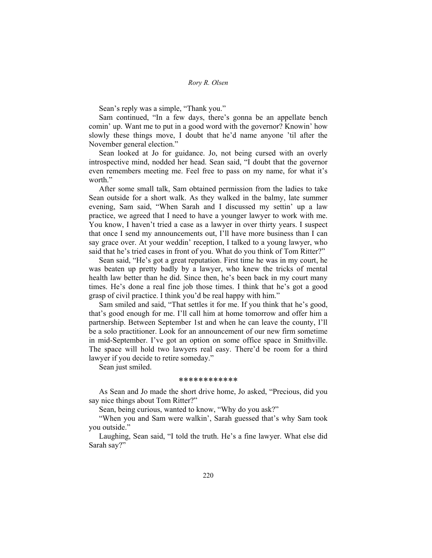Sean's reply was a simple, "Thank you."

Sam continued, "In a few days, there's gonna be an appellate bench comin' up. Want me to put in a good word with the governor? Knowin' how slowly these things move, I doubt that he'd name anyone 'til after the November general election."

Sean looked at Jo for guidance. Jo, not being cursed with an overly introspective mind, nodded her head. Sean said, "I doubt that the governor even remembers meeting me. Feel free to pass on my name, for what it's worth."

After some small talk, Sam obtained permission from the ladies to take Sean outside for a short walk. As they walked in the balmy, late summer evening, Sam said, "When Sarah and I discussed my settin' up a law practice, we agreed that I need to have a younger lawyer to work with me. You know, I haven't tried a case as a lawyer in over thirty years. I suspect that once I send my announcements out, I'll have more business than I can say grace over. At your weddin' reception, I talked to a young lawyer, who said that he's tried cases in front of you. What do you think of Tom Ritter?"

Sean said, "He's got a great reputation. First time he was in my court, he was beaten up pretty badly by a lawyer, who knew the tricks of mental health law better than he did. Since then, he's been back in my court many times. He's done a real fine job those times. I think that he's got a good grasp of civil practice. I think you'd be real happy with him."

Sam smiled and said, "That settles it for me. If you think that he's good, that's good enough for me. I'll call him at home tomorrow and offer him a partnership. Between September 1st and when he can leave the county, I'll be a solo practitioner. Look for an announcement of our new firm sometime in mid-September. I've got an option on some office space in Smithville. The space will hold two lawyers real easy. There'd be room for a third lawyer if you decide to retire someday."

Sean just smiled.

#### \*\*\*\*\*\*\*\*\*\*\*\*

As Sean and Jo made the short drive home, Jo asked, "Precious, did you say nice things about Tom Ritter?"

Sean, being curious, wanted to know, "Why do you ask?"

"When you and Sam were walkin', Sarah guessed that's why Sam took you outside."

Laughing, Sean said, "I told the truth. He's a fine lawyer. What else did Sarah say?"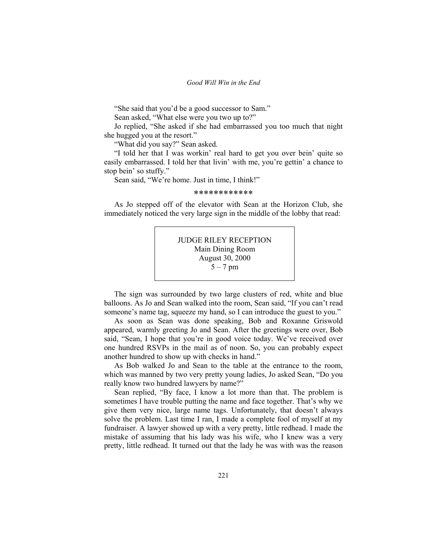"She said that you'd be a good successor to Sam."

Sean asked, "What else were you two up to?"

Jo replied, "She asked if she had embarrassed you too much that night she hugged you at the resort."

"What did you say?" Sean asked.

"I told her that I was workin' real hard to get you over bein' quite so easily embarrassed. I told her that livin' with me, you're gettin' a chance to stop bein' so stuffy."

Sean said, "We're home. Just in time, I think!"

\*\*\*\*\*\*\*\*\*\*\*\*

As Jo stepped off of the elevator with Sean at the Horizon Club, she immediately noticed the very large sign in the middle of the lobby that read:

# JUDGE RILEY RECEPTION Main Dining Room August 30, 2000  $5 - 7$  pm

The sign was surrounded by two large clusters of red, white and blue balloons. As Jo and Sean walked into the room, Sean said, "If you can't read someone's name tag, squeeze my hand, so I can introduce the guest to you."

As soon as Sean was done speaking, Bob and Roxanne Griswold appeared, warmly greeting Jo and Sean. After the greetings were over, Bob said, "Sean, I hope that you're in good voice today. We've received over one hundred RSVPs in the mail as of noon. So, you can probably expect another hundred to show up with checks in hand."

As Bob walked Jo and Sean to the table at the entrance to the room, which was manned by two very pretty young ladies, Jo asked Sean, "Do you really know two hundred lawyers by name?"

Sean replied, "By face, I know a lot more than that. The problem is sometimes I have trouble putting the name and face together. That's why we give them very nice, large name tags. Unfortunately, that doesn't always solve the problem. Last time I ran, I made a complete fool of myself at my fundraiser. A lawyer showed up with a very pretty, little redhead. I made the mistake of assuming that his lady was his wife, who I knew was a very pretty, little redhead. It turned out that the lady he was with was the reason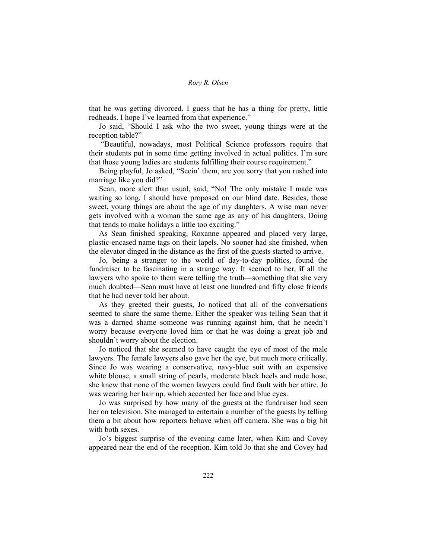that he was getting divorced. I guess that he has a thing for pretty, little redheads. I hope I've learned from that experience."

Jo said, "Should I ask who the two sweet, young things were at the reception table?"

 "Beautiful, nowadays, most Political Science professors require that their students put in some time getting involved in actual politics. I'm sure that those young ladies are students fulfilling their course requirement."

Being playful, Jo asked, "Seein' them, are you sorry that you rushed into marriage like you did?"

Sean, more alert than usual, said, "No! The only mistake I made was waiting so long. I should have proposed on our blind date. Besides, those sweet, young things are about the age of my daughters. A wise man never gets involved with a woman the same age as any of his daughters. Doing that tends to make holidays a little too exciting."

As Sean finished speaking, Roxanne appeared and placed very large, plastic-encased name tags on their lapels. No sooner had she finished, when the elevator dinged in the distance as the first of the guests started to arrive.

Jo, being a stranger to the world of day-to-day politics, found the fundraiser to be fascinating in a strange way. It seemed to her, **if** all the lawyers who spoke to them were telling the truth—something that she very much doubted—Sean must have at least one hundred and fifty close friends that he had never told her about.

As they greeted their guests, Jo noticed that all of the conversations seemed to share the same theme. Either the speaker was telling Sean that it was a darned shame someone was running against him, that he needn't worry because everyone loved him or that he was doing a great job and shouldn't worry about the election.

Jo noticed that she seemed to have caught the eye of most of the male lawyers. The female lawyers also gave her the eye, but much more critically. Since Jo was wearing a conservative, navy-blue suit with an expensive white blouse, a small string of pearls, moderate black heels and nude hose, she knew that none of the women lawyers could find fault with her attire. Jo was wearing her hair up, which accented her face and blue eyes.

Jo was surprised by how many of the guests at the fundraiser had seen her on television. She managed to entertain a number of the guests by telling them a bit about how reporters behave when off camera. She was a big hit with both sexes.

Jo's biggest surprise of the evening came later, when Kim and Covey appeared near the end of the reception. Kim told Jo that she and Covey had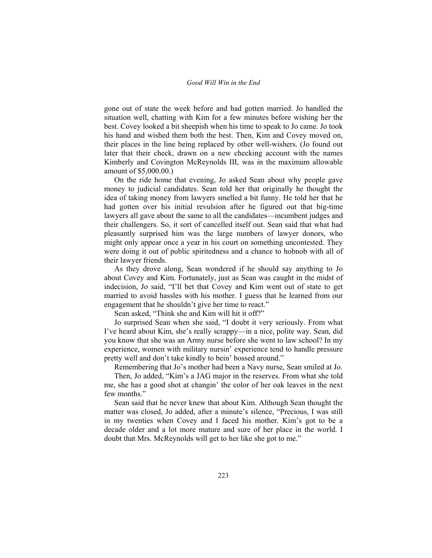gone out of state the week before and had gotten married. Jo handled the situation well, chatting with Kim for a few minutes before wishing her the best. Covey looked a bit sheepish when his time to speak to Jo came. Jo took his hand and wished them both the best. Then, Kim and Covey moved on, their places in the line being replaced by other well-wishers. (Jo found out later that their check, drawn on a new checking account with the names Kimberly and Covington McReynolds III, was in the maximum allowable amount of \$5,000.00.)

On the ride home that evening, Jo asked Sean about why people gave money to judicial candidates. Sean told her that originally he thought the idea of taking money from lawyers smelled a bit funny. He told her that he had gotten over his initial revulsion after he figured out that big-time lawyers all gave about the same to all the candidates—incumbent judges and their challengers. So, it sort of cancelled itself out. Sean said that what had pleasantly surprised him was the large numbers of lawyer donors, who might only appear once a year in his court on something uncontested. They were doing it out of public spiritedness and a chance to hobnob with all of their lawyer friends.

As they drove along, Sean wondered if he should say anything to Jo about Covey and Kim. Fortunately, just as Sean was caught in the midst of indecision, Jo said, "I'll bet that Covey and Kim went out of state to get married to avoid hassles with his mother. I guess that he learned from our engagement that he shouldn't give her time to react."

Sean asked, "Think she and Kim will hit it off?"

Jo surprised Sean when she said, "I doubt it very seriously. From what I've heard about Kim, she's really scrappy—in a nice, polite way. Sean, did you know that she was an Army nurse before she went to law school? In my experience, women with military nursin' experience tend to handle pressure pretty well and don't take kindly to bein' bossed around."

Remembering that Jo's mother had been a Navy nurse, Sean smiled at Jo.

Then, Jo added, "Kim's a JAG major in the reserves. From what she told me, she has a good shot at changin' the color of her oak leaves in the next few months."

Sean said that he never knew that about Kim. Although Sean thought the matter was closed, Jo added, after a minute's silence, "Precious, I was still in my twenties when Covey and I faced his mother. Kim's got to be a decade older and a lot more mature and sure of her place in the world. I doubt that Mrs. McReynolds will get to her like she got to me."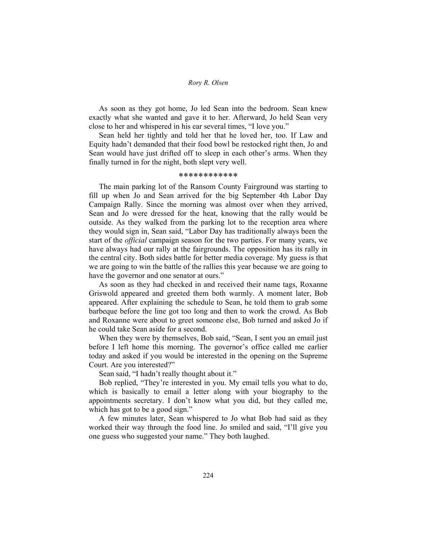As soon as they got home, Jo led Sean into the bedroom. Sean knew exactly what she wanted and gave it to her. Afterward, Jo held Sean very close to her and whispered in his ear several times, "I love you."

Sean held her tightly and told her that he loved her, too. If Law and Equity hadn't demanded that their food bowl be restocked right then, Jo and Sean would have just drifted off to sleep in each other's arms. When they finally turned in for the night, both slept very well.

#### \*\*\*\*\*\*\*\*\*\*\*\*

The main parking lot of the Ransom County Fairground was starting to fill up when Jo and Sean arrived for the big September 4th Labor Day Campaign Rally. Since the morning was almost over when they arrived, Sean and Jo were dressed for the heat, knowing that the rally would be outside. As they walked from the parking lot to the reception area where they would sign in, Sean said, "Labor Day has traditionally always been the start of the *official* campaign season for the two parties. For many years, we have always had our rally at the fairgrounds. The opposition has its rally in the central city. Both sides battle for better media coverage. My guess is that we are going to win the battle of the rallies this year because we are going to have the governor and one senator at ours."

As soon as they had checked in and received their name tags, Roxanne Griswold appeared and greeted them both warmly. A moment later, Bob appeared. After explaining the schedule to Sean, he told them to grab some barbeque before the line got too long and then to work the crowd. As Bob and Roxanne were about to greet someone else, Bob turned and asked Jo if he could take Sean aside for a second.

When they were by themselves, Bob said, "Sean, I sent you an email just before I left home this morning. The governor's office called me earlier today and asked if you would be interested in the opening on the Supreme Court. Are you interested?"

Sean said, "I hadn't really thought about it."

Bob replied, "They're interested in you. My email tells you what to do, which is basically to email a letter along with your biography to the appointments secretary. I don't know what you did, but they called me, which has got to be a good sign."

A few minutes later, Sean whispered to Jo what Bob had said as they worked their way through the food line. Jo smiled and said, "I'll give you one guess who suggested your name." They both laughed.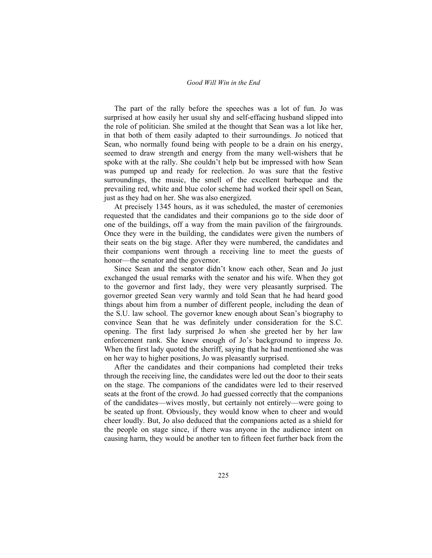The part of the rally before the speeches was a lot of fun. Jo was surprised at how easily her usual shy and self-effacing husband slipped into the role of politician. She smiled at the thought that Sean was a lot like her, in that both of them easily adapted to their surroundings. Jo noticed that Sean, who normally found being with people to be a drain on his energy, seemed to draw strength and energy from the many well-wishers that he spoke with at the rally. She couldn't help but be impressed with how Sean was pumped up and ready for reelection. Jo was sure that the festive surroundings, the music, the smell of the excellent barbeque and the prevailing red, white and blue color scheme had worked their spell on Sean, just as they had on her. She was also energized.

At precisely 1345 hours, as it was scheduled, the master of ceremonies requested that the candidates and their companions go to the side door of one of the buildings, off a way from the main pavilion of the fairgrounds. Once they were in the building, the candidates were given the numbers of their seats on the big stage. After they were numbered, the candidates and their companions went through a receiving line to meet the guests of honor—the senator and the governor.

Since Sean and the senator didn't know each other, Sean and Jo just exchanged the usual remarks with the senator and his wife. When they got to the governor and first lady, they were very pleasantly surprised. The governor greeted Sean very warmly and told Sean that he had heard good things about him from a number of different people, including the dean of the S.U. law school. The governor knew enough about Sean's biography to convince Sean that he was definitely under consideration for the S.C. opening. The first lady surprised Jo when she greeted her by her law enforcement rank. She knew enough of Jo's background to impress Jo. When the first lady quoted the sheriff, saying that he had mentioned she was on her way to higher positions, Jo was pleasantly surprised.

After the candidates and their companions had completed their treks through the receiving line, the candidates were led out the door to their seats on the stage. The companions of the candidates were led to their reserved seats at the front of the crowd. Jo had guessed correctly that the companions of the candidates—wives mostly, but certainly not entirely—were going to be seated up front. Obviously, they would know when to cheer and would cheer loudly. But, Jo also deduced that the companions acted as a shield for the people on stage since, if there was anyone in the audience intent on causing harm, they would be another ten to fifteen feet further back from the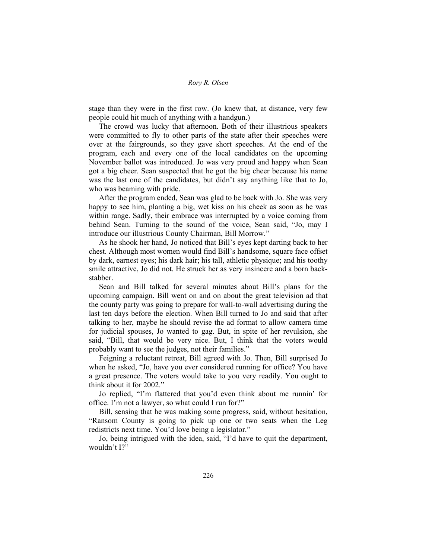stage than they were in the first row. (Jo knew that, at distance, very few people could hit much of anything with a handgun.)

The crowd was lucky that afternoon. Both of their illustrious speakers were committed to fly to other parts of the state after their speeches were over at the fairgrounds, so they gave short speeches. At the end of the program, each and every one of the local candidates on the upcoming November ballot was introduced. Jo was very proud and happy when Sean got a big cheer. Sean suspected that he got the big cheer because his name was the last one of the candidates, but didn't say anything like that to Jo, who was beaming with pride.

After the program ended, Sean was glad to be back with Jo. She was very happy to see him, planting a big, wet kiss on his cheek as soon as he was within range. Sadly, their embrace was interrupted by a voice coming from behind Sean. Turning to the sound of the voice, Sean said, "Jo, may I introduce our illustrious County Chairman, Bill Morrow."

As he shook her hand, Jo noticed that Bill's eyes kept darting back to her chest. Although most women would find Bill's handsome, square face offset by dark, earnest eyes; his dark hair; his tall, athletic physique; and his toothy smile attractive, Jo did not. He struck her as very insincere and a born backstabber.

Sean and Bill talked for several minutes about Bill's plans for the upcoming campaign. Bill went on and on about the great television ad that the county party was going to prepare for wall-to-wall advertising during the last ten days before the election. When Bill turned to Jo and said that after talking to her, maybe he should revise the ad format to allow camera time for judicial spouses, Jo wanted to gag. But, in spite of her revulsion, she said, "Bill, that would be very nice. But, I think that the voters would probably want to see the judges, not their families."

Feigning a reluctant retreat, Bill agreed with Jo. Then, Bill surprised Jo when he asked, "Jo, have you ever considered running for office? You have a great presence. The voters would take to you very readily. You ought to think about it for 2002."

Jo replied, "I'm flattered that you'd even think about me runnin' for office. I'm not a lawyer, so what could I run for?"

Bill, sensing that he was making some progress, said, without hesitation, "Ransom County is going to pick up one or two seats when the Leg redistricts next time. You'd love being a legislator."

Jo, being intrigued with the idea, said, "I'd have to quit the department, wouldn't I?"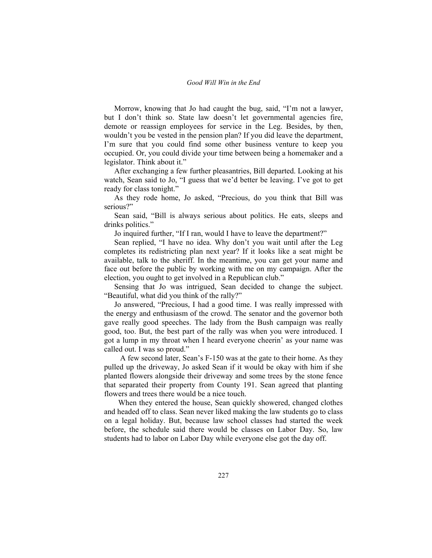Morrow, knowing that Jo had caught the bug, said, "I'm not a lawyer, but I don't think so. State law doesn't let governmental agencies fire, demote or reassign employees for service in the Leg. Besides, by then, wouldn't you be vested in the pension plan? If you did leave the department, I'm sure that you could find some other business venture to keep you occupied. Or, you could divide your time between being a homemaker and a legislator. Think about it."

After exchanging a few further pleasantries, Bill departed. Looking at his watch, Sean said to Jo, "I guess that we'd better be leaving. I've got to get ready for class tonight."

As they rode home, Jo asked, "Precious, do you think that Bill was serious?"

Sean said, "Bill is always serious about politics. He eats, sleeps and drinks politics."

Jo inquired further, "If I ran, would I have to leave the department?"

Sean replied, "I have no idea. Why don't you wait until after the Leg completes its redistricting plan next year? If it looks like a seat might be available, talk to the sheriff. In the meantime, you can get your name and face out before the public by working with me on my campaign. After the election, you ought to get involved in a Republican club."

Sensing that Jo was intrigued, Sean decided to change the subject. "Beautiful, what did you think of the rally?"

Jo answered, "Precious, I had a good time. I was really impressed with the energy and enthusiasm of the crowd. The senator and the governor both gave really good speeches. The lady from the Bush campaign was really good, too. But, the best part of the rally was when you were introduced. I got a lump in my throat when I heard everyone cheerin' as your name was called out. I was so proud."

 A few second later, Sean's F-150 was at the gate to their home. As they pulled up the driveway, Jo asked Sean if it would be okay with him if she planted flowers alongside their driveway and some trees by the stone fence that separated their property from County 191. Sean agreed that planting flowers and trees there would be a nice touch.

 When they entered the house, Sean quickly showered, changed clothes and headed off to class. Sean never liked making the law students go to class on a legal holiday. But, because law school classes had started the week before, the schedule said there would be classes on Labor Day. So, law students had to labor on Labor Day while everyone else got the day off.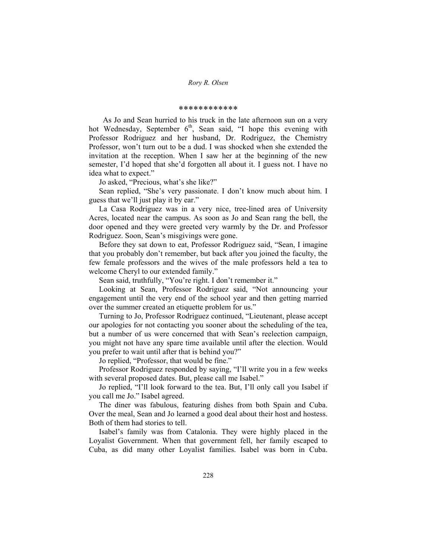#### \*\*\*\*\*\*\*\*\*\*\*\*

 As Jo and Sean hurried to his truck in the late afternoon sun on a very hot Wednesday, September 6<sup>th</sup>, Sean said, "I hope this evening with Professor Rodriguez and her husband, Dr. Rodriguez, the Chemistry Professor, won't turn out to be a dud. I was shocked when she extended the invitation at the reception. When I saw her at the beginning of the new semester, I'd hoped that she'd forgotten all about it. I guess not. I have no idea what to expect."

Jo asked, "Precious, what's she like?"

Sean replied, "She's very passionate. I don't know much about him. I guess that we'll just play it by ear."

La Casa Rodriguez was in a very nice, tree-lined area of University Acres, located near the campus. As soon as Jo and Sean rang the bell, the door opened and they were greeted very warmly by the Dr. and Professor Rodriguez. Soon, Sean's misgivings were gone.

Before they sat down to eat, Professor Rodriguez said, "Sean, I imagine that you probably don't remember, but back after you joined the faculty, the few female professors and the wives of the male professors held a tea to welcome Cheryl to our extended family."

Sean said, truthfully, "You're right. I don't remember it."

Looking at Sean, Professor Rodriguez said, "Not announcing your engagement until the very end of the school year and then getting married over the summer created an etiquette problem for us."

Turning to Jo, Professor Rodriguez continued, "Lieutenant, please accept our apologies for not contacting you sooner about the scheduling of the tea, but a number of us were concerned that with Sean's reelection campaign, you might not have any spare time available until after the election. Would you prefer to wait until after that is behind you?"

Jo replied, "Professor, that would be fine."

Professor Rodriguez responded by saying, "I'll write you in a few weeks with several proposed dates. But, please call me Isabel."

Jo replied, "I'll look forward to the tea. But, I'll only call you Isabel if you call me Jo." Isabel agreed.

The diner was fabulous, featuring dishes from both Spain and Cuba. Over the meal, Sean and Jo learned a good deal about their host and hostess. Both of them had stories to tell.

Isabel's family was from Catalonia. They were highly placed in the Loyalist Government. When that government fell, her family escaped to Cuba, as did many other Loyalist families. Isabel was born in Cuba.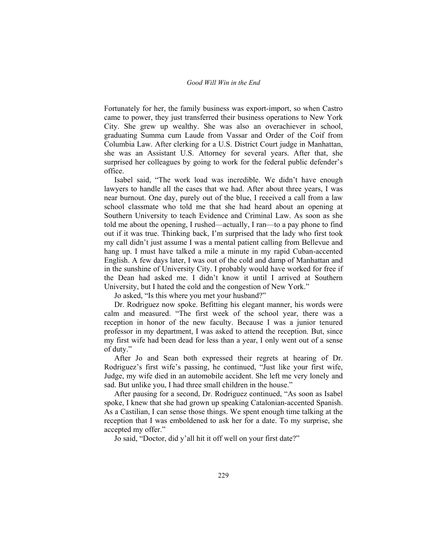Fortunately for her, the family business was export-import, so when Castro came to power, they just transferred their business operations to New York City. She grew up wealthy. She was also an overachiever in school, graduating Summa cum Laude from Vassar and Order of the Coif from Columbia Law. After clerking for a U.S. District Court judge in Manhattan, she was an Assistant U.S. Attorney for several years. After that, she surprised her colleagues by going to work for the federal public defender's office.

Isabel said, "The work load was incredible. We didn't have enough lawyers to handle all the cases that we had. After about three years, I was near burnout. One day, purely out of the blue, I received a call from a law school classmate who told me that she had heard about an opening at Southern University to teach Evidence and Criminal Law. As soon as she told me about the opening, I rushed—actually, I ran—to a pay phone to find out if it was true. Thinking back, I'm surprised that the lady who first took my call didn't just assume I was a mental patient calling from Bellevue and hang up. I must have talked a mile a minute in my rapid Cuban-accented English. A few days later, I was out of the cold and damp of Manhattan and in the sunshine of University City. I probably would have worked for free if the Dean had asked me. I didn't know it until I arrived at Southern University, but I hated the cold and the congestion of New York."

Jo asked, "Is this where you met your husband?"

Dr. Rodriguez now spoke. Befitting his elegant manner, his words were calm and measured. "The first week of the school year, there was a reception in honor of the new faculty. Because I was a junior tenured professor in my department, I was asked to attend the reception. But, since my first wife had been dead for less than a year, I only went out of a sense of duty."

After Jo and Sean both expressed their regrets at hearing of Dr. Rodriguez's first wife's passing, he continued, "Just like your first wife, Judge, my wife died in an automobile accident. She left me very lonely and sad. But unlike you, I had three small children in the house."

After pausing for a second, Dr. Rodriguez continued, "As soon as Isabel spoke, I knew that she had grown up speaking Catalonian-accented Spanish. As a Castilian, I can sense those things. We spent enough time talking at the reception that I was emboldened to ask her for a date. To my surprise, she accepted my offer."

Jo said, "Doctor, did y'all hit it off well on your first date?"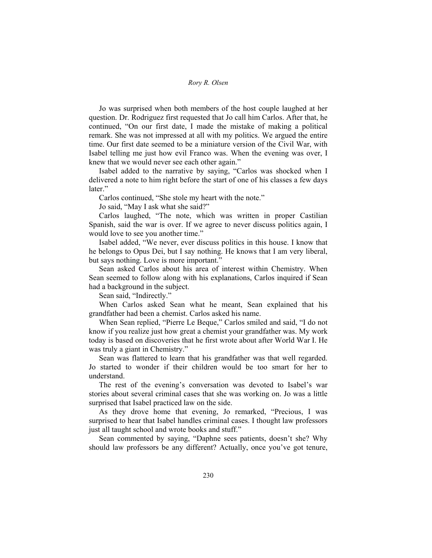Jo was surprised when both members of the host couple laughed at her question. Dr. Rodriguez first requested that Jo call him Carlos. After that, he continued, "On our first date, I made the mistake of making a political remark. She was not impressed at all with my politics. We argued the entire time. Our first date seemed to be a miniature version of the Civil War, with Isabel telling me just how evil Franco was. When the evening was over, I knew that we would never see each other again."

Isabel added to the narrative by saying, "Carlos was shocked when I delivered a note to him right before the start of one of his classes a few days later."

Carlos continued, "She stole my heart with the note."

Jo said, "May I ask what she said?"

Carlos laughed, "The note, which was written in proper Castilian Spanish, said the war is over. If we agree to never discuss politics again, I would love to see you another time."

Isabel added, "We never, ever discuss politics in this house. I know that he belongs to Opus Dei, but I say nothing. He knows that I am very liberal, but says nothing. Love is more important."

Sean asked Carlos about his area of interest within Chemistry. When Sean seemed to follow along with his explanations, Carlos inquired if Sean had a background in the subject.

Sean said, "Indirectly."

When Carlos asked Sean what he meant, Sean explained that his grandfather had been a chemist. Carlos asked his name.

When Sean replied, "Pierre Le Beque," Carlos smiled and said, "I do not know if you realize just how great a chemist your grandfather was. My work today is based on discoveries that he first wrote about after World War I. He was truly a giant in Chemistry."

Sean was flattered to learn that his grandfather was that well regarded. Jo started to wonder if their children would be too smart for her to understand.

The rest of the evening's conversation was devoted to Isabel's war stories about several criminal cases that she was working on. Jo was a little surprised that Isabel practiced law on the side.

As they drove home that evening, Jo remarked, "Precious, I was surprised to hear that Isabel handles criminal cases. I thought law professors just all taught school and wrote books and stuff."

Sean commented by saying, "Daphne sees patients, doesn't she? Why should law professors be any different? Actually, once you've got tenure,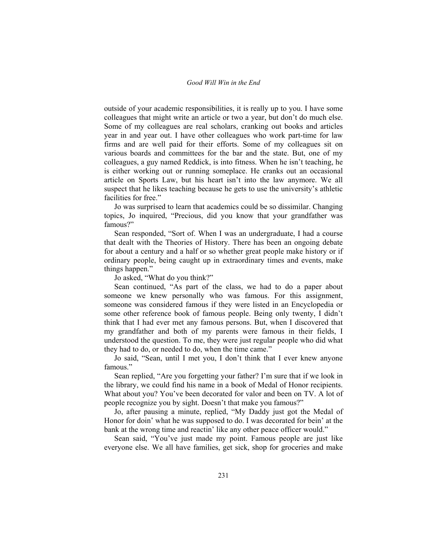outside of your academic responsibilities, it is really up to you. I have some colleagues that might write an article or two a year, but don't do much else. Some of my colleagues are real scholars, cranking out books and articles year in and year out. I have other colleagues who work part-time for law firms and are well paid for their efforts. Some of my colleagues sit on various boards and committees for the bar and the state. But, one of my colleagues, a guy named Reddick, is into fitness. When he isn't teaching, he is either working out or running someplace. He cranks out an occasional article on Sports Law, but his heart isn't into the law anymore. We all suspect that he likes teaching because he gets to use the university's athletic facilities for free."

Jo was surprised to learn that academics could be so dissimilar. Changing topics, Jo inquired, "Precious, did you know that your grandfather was famous?"

Sean responded, "Sort of. When I was an undergraduate, I had a course that dealt with the Theories of History. There has been an ongoing debate for about a century and a half or so whether great people make history or if ordinary people, being caught up in extraordinary times and events, make things happen."

Jo asked, "What do you think?"

Sean continued, "As part of the class, we had to do a paper about someone we knew personally who was famous. For this assignment, someone was considered famous if they were listed in an Encyclopedia or some other reference book of famous people. Being only twenty, I didn't think that I had ever met any famous persons. But, when I discovered that my grandfather and both of my parents were famous in their fields, I understood the question. To me, they were just regular people who did what they had to do, or needed to do, when the time came."

Jo said, "Sean, until I met you, I don't think that I ever knew anyone famous."

Sean replied, "Are you forgetting your father? I'm sure that if we look in the library, we could find his name in a book of Medal of Honor recipients. What about you? You've been decorated for valor and been on TV. A lot of people recognize you by sight. Doesn't that make you famous?"

Jo, after pausing a minute, replied, "My Daddy just got the Medal of Honor for doin' what he was supposed to do. I was decorated for bein' at the bank at the wrong time and reactin' like any other peace officer would."

Sean said, "You've just made my point. Famous people are just like everyone else. We all have families, get sick, shop for groceries and make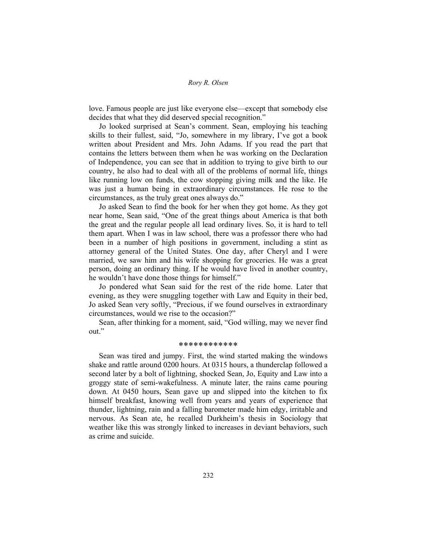love. Famous people are just like everyone else—except that somebody else decides that what they did deserved special recognition."

Jo looked surprised at Sean's comment. Sean, employing his teaching skills to their fullest, said, "Jo, somewhere in my library, I've got a book written about President and Mrs. John Adams. If you read the part that contains the letters between them when he was working on the Declaration of Independence, you can see that in addition to trying to give birth to our country, he also had to deal with all of the problems of normal life, things like running low on funds, the cow stopping giving milk and the like. He was just a human being in extraordinary circumstances. He rose to the circumstances, as the truly great ones always do."

Jo asked Sean to find the book for her when they got home. As they got near home, Sean said, "One of the great things about America is that both the great and the regular people all lead ordinary lives. So, it is hard to tell them apart. When I was in law school, there was a professor there who had been in a number of high positions in government, including a stint as attorney general of the United States. One day, after Cheryl and I were married, we saw him and his wife shopping for groceries. He was a great person, doing an ordinary thing. If he would have lived in another country, he wouldn't have done those things for himself."

Jo pondered what Sean said for the rest of the ride home. Later that evening, as they were snuggling together with Law and Equity in their bed, Jo asked Sean very softly, "Precious, if we found ourselves in extraordinary circumstances, would we rise to the occasion?"

Sean, after thinking for a moment, said, "God willing, may we never find out."

#### \*\*\*\*\*\*\*\*\*\*\*\*

Sean was tired and jumpy. First, the wind started making the windows shake and rattle around 0200 hours. At 0315 hours, a thunderclap followed a second later by a bolt of lightning, shocked Sean, Jo, Equity and Law into a groggy state of semi-wakefulness. A minute later, the rains came pouring down. At 0450 hours, Sean gave up and slipped into the kitchen to fix himself breakfast, knowing well from years and years of experience that thunder, lightning, rain and a falling barometer made him edgy, irritable and nervous. As Sean ate, he recalled Durkheim's thesis in Sociology that weather like this was strongly linked to increases in deviant behaviors, such as crime and suicide.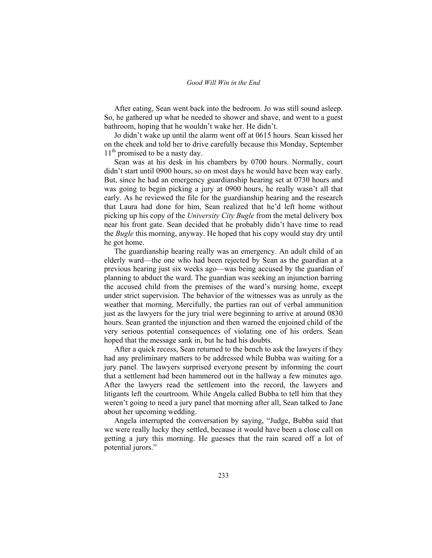After eating, Sean went back into the bedroom. Jo was still sound asleep. So, he gathered up what he needed to shower and shave, and went to a guest bathroom, hoping that he wouldn't wake her. He didn't.

Jo didn't wake up until the alarm went off at 0615 hours. Sean kissed her on the cheek and told her to drive carefully because this Monday, September  $11<sup>th</sup>$  promised to be a nasty day.

Sean was at his desk in his chambers by 0700 hours. Normally, court didn't start until 0900 hours, so on most days he would have been way early. But, since he had an emergency guardianship hearing set at 0730 hours and was going to begin picking a jury at 0900 hours, he really wasn't all that early. As he reviewed the file for the guardianship hearing and the research that Laura had done for him, Sean realized that he'd left home without picking up his copy of the *University City Bugle* from the metal delivery box near his front gate. Sean decided that he probably didn't have time to read the *Bugle* this morning, anyway. He hoped that his copy would stay dry until he got home.

The guardianship hearing really was an emergency. An adult child of an elderly ward—the one who had been rejected by Sean as the guardian at a previous hearing just six weeks ago—was being accused by the guardian of planning to abduct the ward. The guardian was seeking an injunction barring the accused child from the premises of the ward's nursing home, except under strict supervision. The behavior of the witnesses was as unruly as the weather that morning. Mercifully, the parties ran out of verbal ammunition just as the lawyers for the jury trial were beginning to arrive at around 0830 hours. Sean granted the injunction and then warned the enjoined child of the very serious potential consequences of violating one of his orders. Sean hoped that the message sank in, but he had his doubts.

After a quick recess, Sean returned to the bench to ask the lawyers if they had any preliminary matters to be addressed while Bubba was waiting for a jury panel. The lawyers surprised everyone present by informing the court that a settlement had been hammered out in the hallway a few minutes ago. After the lawyers read the settlement into the record, the lawyers and litigants left the courtroom. While Angela called Bubba to tell him that they weren't going to need a jury panel that morning after all, Sean talked to Jane about her upcoming wedding.

Angela interrupted the conversation by saying, "Judge, Bubba said that we were really lucky they settled, because it would have been a close call on getting a jury this morning. He guesses that the rain scared off a lot of potential jurors."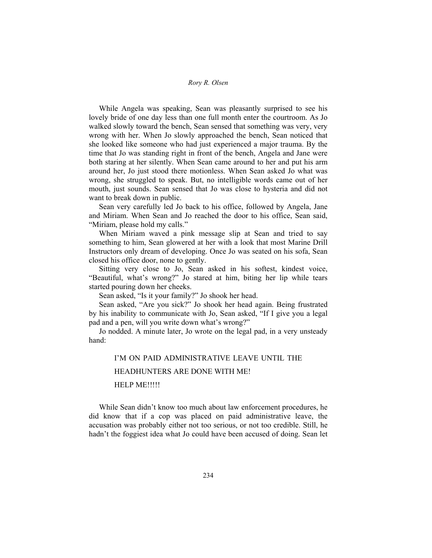While Angela was speaking, Sean was pleasantly surprised to see his lovely bride of one day less than one full month enter the courtroom. As Jo walked slowly toward the bench, Sean sensed that something was very, very wrong with her. When Jo slowly approached the bench, Sean noticed that she looked like someone who had just experienced a major trauma. By the time that Jo was standing right in front of the bench, Angela and Jane were both staring at her silently. When Sean came around to her and put his arm around her, Jo just stood there motionless. When Sean asked Jo what was wrong, she struggled to speak. But, no intelligible words came out of her mouth, just sounds. Sean sensed that Jo was close to hysteria and did not want to break down in public.

Sean very carefully led Jo back to his office, followed by Angela, Jane and Miriam. When Sean and Jo reached the door to his office, Sean said, "Miriam, please hold my calls."

When Miriam waved a pink message slip at Sean and tried to say something to him, Sean glowered at her with a look that most Marine Drill Instructors only dream of developing. Once Jo was seated on his sofa, Sean closed his office door, none to gently.

Sitting very close to Jo, Sean asked in his softest, kindest voice, "Beautiful, what's wrong?" Jo stared at him, biting her lip while tears started pouring down her cheeks.

Sean asked, "Is it your family?" Jo shook her head.

Sean asked, "Are you sick?" Jo shook her head again. Being frustrated by his inability to communicate with Jo, Sean asked, "If I give you a legal pad and a pen, will you write down what's wrong?"

Jo nodded. A minute later, Jo wrote on the legal pad, in a very unsteady hand:

# I'M ON PAID ADMINISTRATIVE LEAVE UNTIL THE HEADHUNTERS ARE DONE WITH ME! HELP ME!!!!!

While Sean didn't know too much about law enforcement procedures, he did know that if a cop was placed on paid administrative leave, the accusation was probably either not too serious, or not too credible. Still, he hadn't the foggiest idea what Jo could have been accused of doing. Sean let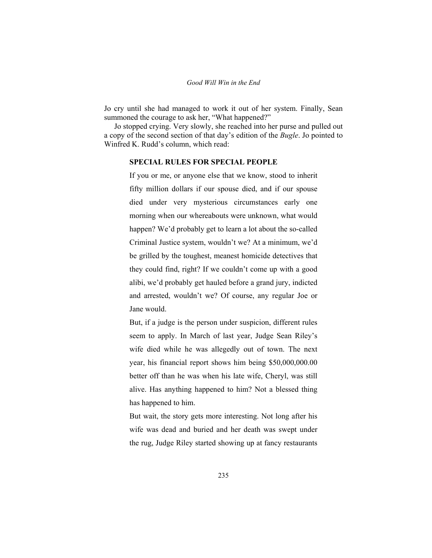Jo cry until she had managed to work it out of her system. Finally, Sean summoned the courage to ask her, "What happened?"

Jo stopped crying. Very slowly, she reached into her purse and pulled out a copy of the second section of that day's edition of the *Bugle*. Jo pointed to Winfred K. Rudd's column, which read:

## **SPECIAL RULES FOR SPECIAL PEOPLE**

If you or me, or anyone else that we know, stood to inherit fifty million dollars if our spouse died, and if our spouse died under very mysterious circumstances early one morning when our whereabouts were unknown, what would happen? We'd probably get to learn a lot about the so-called Criminal Justice system, wouldn't we? At a minimum, we'd be grilled by the toughest, meanest homicide detectives that they could find, right? If we couldn't come up with a good alibi, we'd probably get hauled before a grand jury, indicted and arrested, wouldn't we? Of course, any regular Joe or Jane would.

But, if a judge is the person under suspicion, different rules seem to apply. In March of last year, Judge Sean Riley's wife died while he was allegedly out of town. The next year, his financial report shows him being \$50,000,000.00 better off than he was when his late wife, Cheryl, was still alive. Has anything happened to him? Not a blessed thing has happened to him.

But wait, the story gets more interesting. Not long after his wife was dead and buried and her death was swept under the rug, Judge Riley started showing up at fancy restaurants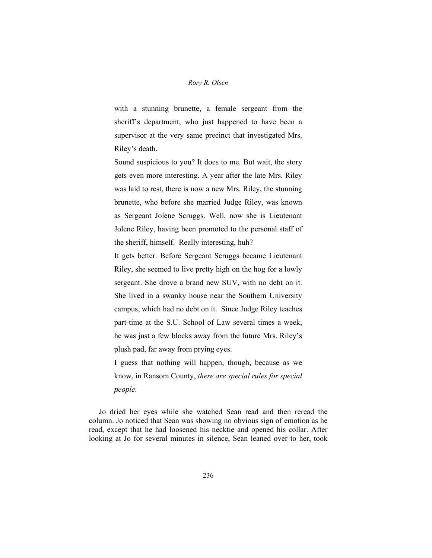with a stunning brunette, a female sergeant from the sheriff's department, who just happened to have been a supervisor at the very same precinct that investigated Mrs. Riley's death.

Sound suspicious to you? It does to me. But wait, the story gets even more interesting. A year after the late Mrs. Riley was laid to rest, there is now a new Mrs. Riley, the stunning brunette, who before she married Judge Riley, was known as Sergeant Jolene Scruggs. Well, now she is Lieutenant Jolene Riley, having been promoted to the personal staff of the sheriff, himself. Really interesting, huh?

It gets better. Before Sergeant Scruggs became Lieutenant Riley, she seemed to live pretty high on the hog for a lowly sergeant. She drove a brand new SUV, with no debt on it. She lived in a swanky house near the Southern University campus, which had no debt on it. Since Judge Riley teaches part-time at the S.U. School of Law several times a week, he was just a few blocks away from the future Mrs. Riley's plush pad, far away from prying eyes.

I guess that nothing will happen, though, because as we know, in Ransom County, *there are special rules for special people*.

Jo dried her eyes while she watched Sean read and then reread the column. Jo noticed that Sean was showing no obvious sign of emotion as he read, except that he had loosened his necktie and opened his collar. After looking at Jo for several minutes in silence, Sean leaned over to her, took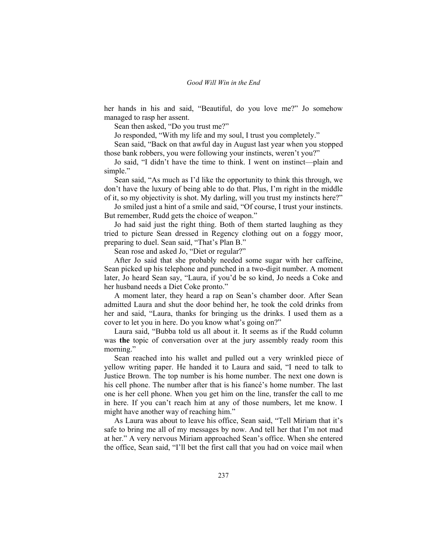her hands in his and said, "Beautiful, do you love me?" Jo somehow managed to rasp her assent.

Sean then asked, "Do you trust me?"

Jo responded, "With my life and my soul, I trust you completely."

Sean said, "Back on that awful day in August last year when you stopped those bank robbers, you were following your instincts, weren't you?"

Jo said, "I didn't have the time to think. I went on instinct—plain and simple."

Sean said, "As much as I'd like the opportunity to think this through, we don't have the luxury of being able to do that. Plus, I'm right in the middle of it, so my objectivity is shot. My darling, will you trust my instincts here?"

Jo smiled just a hint of a smile and said, "Of course, I trust your instincts. But remember, Rudd gets the choice of weapon."

Jo had said just the right thing. Both of them started laughing as they tried to picture Sean dressed in Regency clothing out on a foggy moor, preparing to duel. Sean said, "That's Plan B."

Sean rose and asked Jo, "Diet or regular?"

After Jo said that she probably needed some sugar with her caffeine, Sean picked up his telephone and punched in a two-digit number. A moment later, Jo heard Sean say, "Laura, if you'd be so kind, Jo needs a Coke and her husband needs a Diet Coke pronto."

A moment later, they heard a rap on Sean's chamber door. After Sean admitted Laura and shut the door behind her, he took the cold drinks from her and said, "Laura, thanks for bringing us the drinks. I used them as a cover to let you in here. Do you know what's going on?"

Laura said, "Bubba told us all about it. It seems as if the Rudd column was **the** topic of conversation over at the jury assembly ready room this morning."

Sean reached into his wallet and pulled out a very wrinkled piece of yellow writing paper. He handed it to Laura and said, "I need to talk to Justice Brown. The top number is his home number. The next one down is his cell phone. The number after that is his fiancé's home number. The last one is her cell phone. When you get him on the line, transfer the call to me in here. If you can't reach him at any of those numbers, let me know. I might have another way of reaching him."

As Laura was about to leave his office, Sean said, "Tell Miriam that it's safe to bring me all of my messages by now. And tell her that I'm not mad at her." A very nervous Miriam approached Sean's office. When she entered the office, Sean said, "I'll bet the first call that you had on voice mail when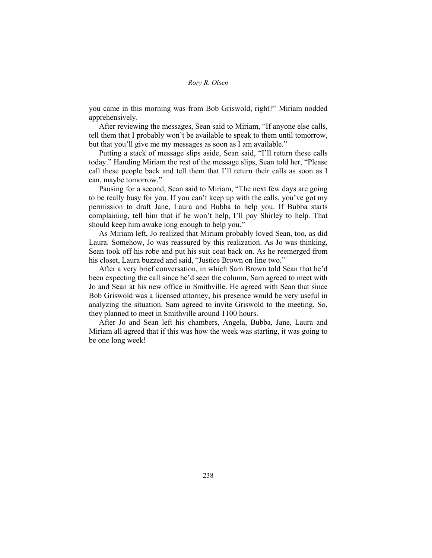you came in this morning was from Bob Griswold, right?" Miriam nodded apprehensively.

After reviewing the messages, Sean said to Miriam, "If anyone else calls, tell them that I probably won't be available to speak to them until tomorrow, but that you'll give me my messages as soon as I am available."

Putting a stack of message slips aside, Sean said, "I'll return these calls today." Handing Miriam the rest of the message slips, Sean told her, "Please call these people back and tell them that I'll return their calls as soon as I can, maybe tomorrow."

Pausing for a second, Sean said to Miriam, "The next few days are going to be really busy for you. If you can't keep up with the calls, you've got my permission to draft Jane, Laura and Bubba to help you. If Bubba starts complaining, tell him that if he won't help, I'll pay Shirley to help. That should keep him awake long enough to help you."

As Miriam left, Jo realized that Miriam probably loved Sean, too, as did Laura. Somehow, Jo was reassured by this realization. As Jo was thinking, Sean took off his robe and put his suit coat back on. As he reemerged from his closet, Laura buzzed and said, "Justice Brown on line two."

After a very brief conversation, in which Sam Brown told Sean that he'd been expecting the call since he'd seen the column, Sam agreed to meet with Jo and Sean at his new office in Smithville. He agreed with Sean that since Bob Griswold was a licensed attorney, his presence would be very useful in analyzing the situation. Sam agreed to invite Griswold to the meeting. So, they planned to meet in Smithville around 1100 hours.

After Jo and Sean left his chambers, Angela, Bubba, Jane, Laura and Miriam all agreed that if this was how the week was starting, it was going to be one long week!